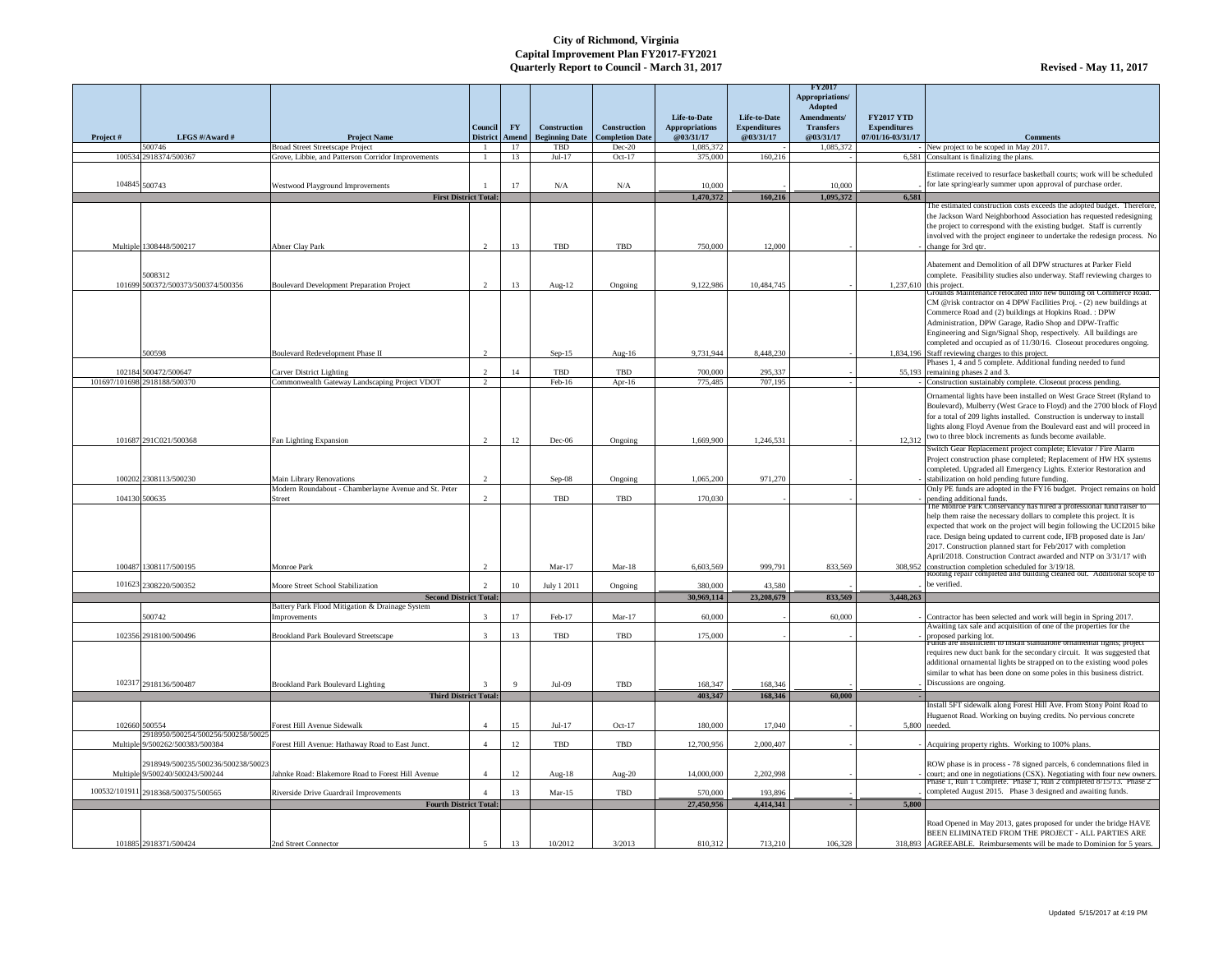|           |                                                                       |                                                                    | Council        | <b>FY</b> | <b>Construction</b>                             | <b>Construction</b>                | Life-to-Date<br><b>Appropriations</b> | Life-to-Date<br><b>Expenditures</b> | <b>FY2017</b><br>Appropriations/<br><b>Adopted</b><br>Amendments/<br><b>Transfers</b> | <b>FY2017 YTD</b><br><b>Expenditures</b> |                                                                                                                                                                                                                                                                                                                                                                                                                                                                                             |
|-----------|-----------------------------------------------------------------------|--------------------------------------------------------------------|----------------|-----------|-------------------------------------------------|------------------------------------|---------------------------------------|-------------------------------------|---------------------------------------------------------------------------------------|------------------------------------------|---------------------------------------------------------------------------------------------------------------------------------------------------------------------------------------------------------------------------------------------------------------------------------------------------------------------------------------------------------------------------------------------------------------------------------------------------------------------------------------------|
| Project # | LFGS #/Award #<br>500746                                              | <b>Project Name</b><br><b>Broad Street Streetscape Project</b>     |                | 17        | District   Amend   Beginning Date<br><b>TBD</b> | <b>Completion Date</b><br>$Dec-20$ | @03/31/17<br>1,085,372                | @03/31/17                           | <b>@03/31/17</b><br>1,085,372                                                         | 07/01/16-03/31/17                        | <b>Comments</b><br>New project to be scoped in May 2017.                                                                                                                                                                                                                                                                                                                                                                                                                                    |
|           | 100534 2918374/500367                                                 | Grove, Libbie, and Patterson Corridor Improvements                 |                | 13        | $Jul-17$                                        | $Oct-17$                           | 375,000                               | 160,216                             |                                                                                       |                                          | 6,581 Consultant is finalizing the plans.                                                                                                                                                                                                                                                                                                                                                                                                                                                   |
|           | 104845 500743                                                         | Westwood Playground Improvements                                   |                |           | N/A                                             | N/A                                | 10,000                                |                                     | 10,000                                                                                |                                          | Estimate received to resurface basketball courts; work will be scheduled<br>for late spring/early summer upon approval of purchase order.                                                                                                                                                                                                                                                                                                                                                   |
|           |                                                                       | <b>First District Total:</b>                                       |                |           |                                                 |                                    | 1,470,372                             | 160,216                             | 1,095,372                                                                             | 6,581                                    |                                                                                                                                                                                                                                                                                                                                                                                                                                                                                             |
|           |                                                                       |                                                                    |                |           |                                                 |                                    |                                       |                                     |                                                                                       |                                          | The estimated construction costs exceeds the adopted budget. Therefore,<br>the Jackson Ward Neighborhood Association has requested redesigning<br>the project to correspond with the existing budget. Staff is currently<br>involved with the project engineer to undertake the redesign process. No                                                                                                                                                                                        |
|           | Multiple 1308448/500217                                               | Abner Clay Park                                                    | $\overline{2}$ | 13        | <b>TBD</b>                                      | TBD                                | 750,000                               | 12,000                              |                                                                                       |                                          | change for 3rd qtr.                                                                                                                                                                                                                                                                                                                                                                                                                                                                         |
|           | 5008312<br>101699 500372/500373/500374/500356                         | <b>Boulevard Development Preparation Project</b>                   | 2              | 13        | Aug- $12$                                       | Ongoing                            | 9,122,986                             | 10,484,745                          |                                                                                       |                                          | Abatement and Demolition of all DPW structures at Parker Field<br>complete. Feasibility studies also underway. Staff reviewing charges to<br>$1,237,610$ this project.                                                                                                                                                                                                                                                                                                                      |
|           | 500598                                                                | Boulevard Redevelopment Phase II                                   | 2              |           | $Sep-15$                                        | Aug-16                             | 9,731,944                             | 8,448,230                           |                                                                                       |                                          | Grounds Maintenance relocated into new building on Commerce Road.<br>CM @risk contractor on 4 DPW Facilities Proj. - (2) new buildings at<br>Commerce Road and (2) buildings at Hopkins Road. : DPW<br>Administration, DPW Garage, Radio Shop and DPW-Traffic<br>Engineering and Sign/Signal Shop, respectively. All buildings are<br>completed and occupied as of 11/30/16. Closeout procedures ongoing.<br>1,834,196 Staff reviewing charges to this project.                             |
|           |                                                                       |                                                                    |                |           |                                                 |                                    |                                       |                                     |                                                                                       |                                          | Phases 1, 4 and 5 complete. Additional funding needed to fund                                                                                                                                                                                                                                                                                                                                                                                                                               |
|           | 102184 500472/500647                                                  | <b>Carver District Lighting</b>                                    | 2              |           | TBD                                             | <b>TBD</b>                         | 700,000                               | 295,337                             |                                                                                       |                                          | 55,193 remaining phases 2 and 3.                                                                                                                                                                                                                                                                                                                                                                                                                                                            |
|           | 101697/101698 2918188/500370                                          | Commonwealth Gateway Landscaping Project VDOT                      | 2              |           | Feb-16                                          | Apr-16                             | 775,485                               | 707,195                             |                                                                                       |                                          | Construction sustainably complete. Closeout process pending.                                                                                                                                                                                                                                                                                                                                                                                                                                |
|           | 101687 291C021/500368                                                 | Fan Lighting Expansion                                             | 2              | 12        | $Dec-06$                                        | Ongoing                            | 1,669,900                             | 1,246,531                           |                                                                                       |                                          | Ornamental lights have been installed on West Grace Street (Ryland to<br>Boulevard), Mulberry (West Grace to Floyd) and the 2700 block of Floyd<br>for a total of 209 lights installed. Construction is underway to install<br>lights along Floyd Avenue from the Boulevard east and will proceed in<br>$12,312$ two to three block increments as funds become available.                                                                                                                   |
|           |                                                                       |                                                                    |                |           |                                                 |                                    |                                       |                                     |                                                                                       |                                          | Switch Gear Replacement project complete; Elevator / Fire Alarm                                                                                                                                                                                                                                                                                                                                                                                                                             |
|           | 100202 2308113/500230                                                 | <b>Main Library Renovations</b>                                    | 2              |           | $Sep-08$                                        | Ongoing                            | 1,065,200                             | 971,270                             |                                                                                       |                                          | Project construction phase completed; Replacement of HW HX systems<br>completed. Upgraded all Emergency Lights. Exterior Restoration and<br>stabilization on hold pending future funding.<br>Only PE funds are adopted in the FY16 budget. Project remains on hold                                                                                                                                                                                                                          |
|           | 104130 500635                                                         | Modern Roundabout - Chamberlayne Avenue and St. Peter<br>Street    | $\overline{2}$ |           | TBD                                             | TBD                                | 170,030                               |                                     |                                                                                       |                                          | pending additional funds.                                                                                                                                                                                                                                                                                                                                                                                                                                                                   |
|           | 100487 1308117/500195                                                 | Monroe Park                                                        | $\overline{2}$ |           | $Mar-17$                                        | $Mar-18$                           | 6,603,569                             | 999,791                             | 833,569                                                                               | 308,952                                  | The Monroe Park Conservancy has hired a professional fund raiser to<br>help them raise the necessary dollars to complete this project. It is<br>expected that work on the project will begin following the UCI2015 bike<br>race. Design being updated to current code, IFB proposed date is Jan/<br>2017. Construction planned start for Feb/2017 with completion<br>April/2018. Construction Contract awarded and NTP on 3/31/17 with<br>construction completion scheduled for $3/19/18$ . |
|           |                                                                       |                                                                    |                |           |                                                 |                                    |                                       |                                     |                                                                                       |                                          | Roofing repair completed and building cleaned out. Additional scope to<br>be verified.                                                                                                                                                                                                                                                                                                                                                                                                      |
|           | 101623 2308220/500352                                                 | Moore Street School Stabilization<br><b>Second District Total:</b> |                |           | July 1 2011                                     | Ongoing                            | 380,000<br>30,969,114                 | 43,580<br>23,208,679                | 833,569                                                                               | 3,448,263                                |                                                                                                                                                                                                                                                                                                                                                                                                                                                                                             |
|           |                                                                       | Battery Park Flood Mitigation & Drainage System                    |                |           |                                                 |                                    |                                       |                                     |                                                                                       |                                          |                                                                                                                                                                                                                                                                                                                                                                                                                                                                                             |
|           | 500742                                                                | mprovements                                                        | -3             | 17        | Feb-17                                          | $Mar-17$                           | 60,000                                |                                     | 60,000                                                                                |                                          | Contractor has been selected and work will begin in Spring 2017.                                                                                                                                                                                                                                                                                                                                                                                                                            |
|           | 102356 2918100/500496                                                 | <b>Brookland Park Boulevard Streetscape</b>                        |                | 13        | TBD                                             | <b>TBD</b>                         | 175,000                               |                                     |                                                                                       |                                          | Awaiting tax sale and acquisition of one of the properties for the<br>proposed parking lot.<br>Trungs are insumcient to instail standalone ornamental lights; project                                                                                                                                                                                                                                                                                                                       |
|           |                                                                       |                                                                    |                |           |                                                 |                                    |                                       |                                     |                                                                                       |                                          | requires new duct bank for the secondary circuit. It was suggested that<br>additional ornamental lights be strapped on to the existing wood poles<br>similar to what has been done on some poles in this business district.<br>Discussions are ongoing.                                                                                                                                                                                                                                     |
|           | 102317 2918136/500487                                                 | <b>Brookland Park Boulevard Lighting</b>                           |                | $\Omega$  | $Jul-09$                                        | <b>TBD</b>                         | 168,347                               | 168,346                             | 60,000                                                                                |                                          |                                                                                                                                                                                                                                                                                                                                                                                                                                                                                             |
|           |                                                                       | <b>Third District Total:</b>                                       |                |           |                                                 |                                    | 403,347                               | 168,346                             |                                                                                       |                                          | Install 5FT sidewalk along Forest Hill Ave. From Stony Point Road to                                                                                                                                                                                                                                                                                                                                                                                                                        |
|           | 102660 500554<br>2918950/500254/500256/500258/50025                   | Forest Hill Avenue Sidewalk                                        |                | 15        | $Jul-17$                                        | Oct- $17$                          | 180,000                               | 17,040                              |                                                                                       |                                          | Huguenot Road. Working on buying credits. No pervious concrete<br>5,800 needed.                                                                                                                                                                                                                                                                                                                                                                                                             |
|           | Multiple 9/500262/500383/500384                                       | Forest Hill Avenue: Hathaway Road to East Junct.                   |                | 12        | TBD                                             | TBD                                | 12,700,956                            | 2,000,407                           |                                                                                       |                                          | Acquiring property rights. Working to 100% plans.                                                                                                                                                                                                                                                                                                                                                                                                                                           |
|           | 2918949/500235/500236/500238/50023<br>Multiple 9/500240/500243/500244 | Jahnke Road: Blakemore Road to Forest Hill Avenue                  |                | 12        | Aug- $18$                                       | Aug- $20$                          | 14,000,000                            | 2,202,998                           |                                                                                       |                                          | ROW phase is in process - 78 signed parcels, 6 condemnations filed in<br>court; and one in negotiations (CSX). Negotiating with four new owners.                                                                                                                                                                                                                                                                                                                                            |
|           | 100532/101911 2918368/500375/500565                                   | Riverside Drive Guardrail Improvements                             |                | 13        | $Mar-15$                                        | TBD                                | 570,000                               | 193,896                             |                                                                                       |                                          | Phase 1, Run 1 Complete. Phase 1, Run 2 completed $8/15/13$ . Phase 2<br>completed August 2015. Phase 3 designed and awaiting funds.                                                                                                                                                                                                                                                                                                                                                        |
|           |                                                                       | <b>Fourth District Total:</b>                                      |                |           |                                                 |                                    | 27,450,956                            | 4,414,341                           |                                                                                       | 5,800                                    |                                                                                                                                                                                                                                                                                                                                                                                                                                                                                             |
|           | 101885 2918371/500424                                                 | 2nd Street Connector                                               |                |           | 10/2012                                         | 3/2013                             | 810,312                               | 713,210                             | 106,328                                                                               |                                          | Road Opened in May 2013, gates proposed for under the bridge HAVE<br>BEEN ELIMINATED FROM THE PROJECT - ALL PARTIES ARE<br>318,893 AGREEABLE. Reimbursements will be made to Dominion for 5 years.                                                                                                                                                                                                                                                                                          |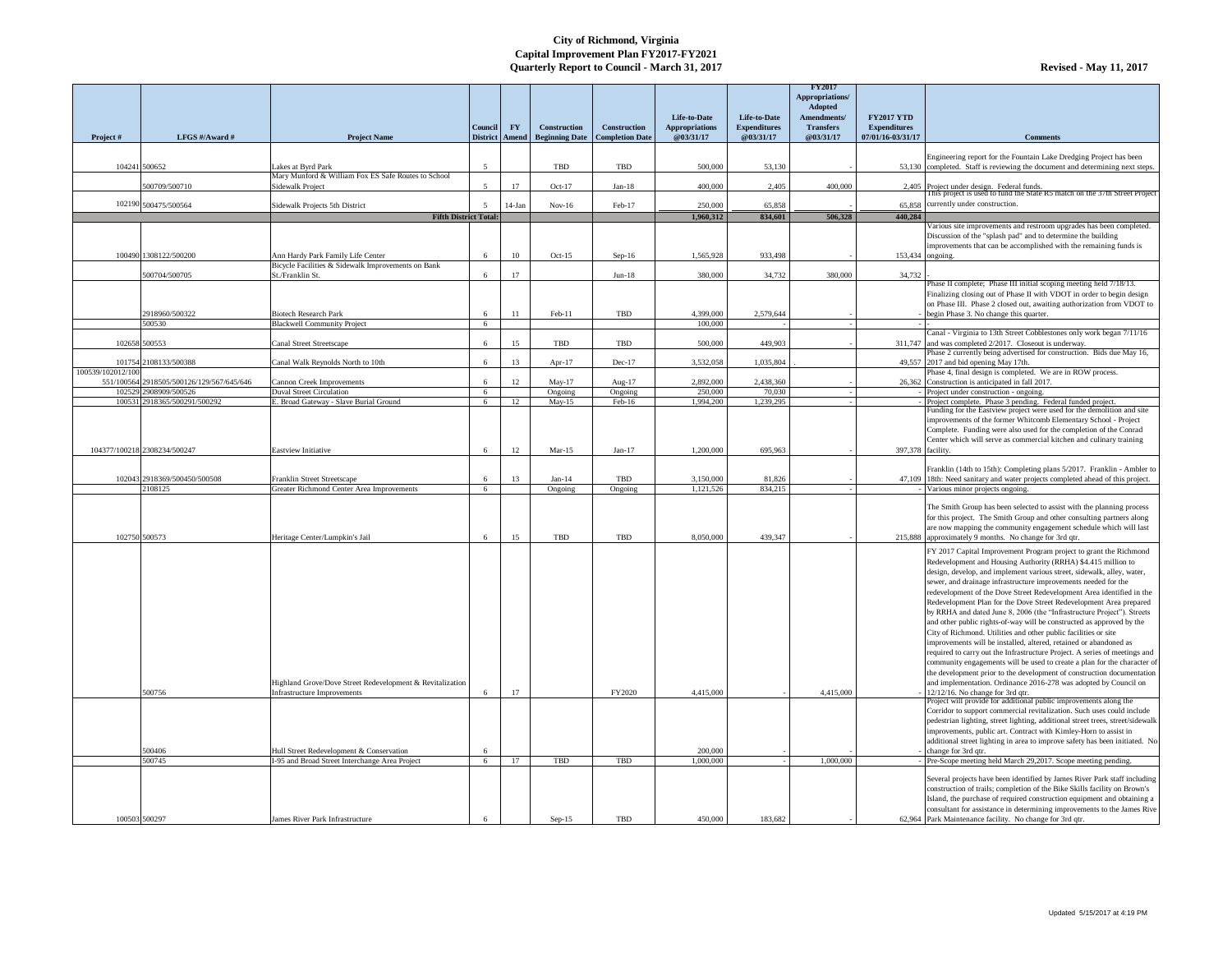|                   |                                                                    |                                                                    |                               |           |                                              |                                               |                                    |                                  | <b>FY2017</b><br><b>Appropriations/</b><br><b>Adopted</b> |                                          |                                                                                                                                                        |
|-------------------|--------------------------------------------------------------------|--------------------------------------------------------------------|-------------------------------|-----------|----------------------------------------------|-----------------------------------------------|------------------------------------|----------------------------------|-----------------------------------------------------------|------------------------------------------|--------------------------------------------------------------------------------------------------------------------------------------------------------|
|                   |                                                                    |                                                                    |                               |           |                                              |                                               | Life-to-Date                       | Life-to-Date                     | <b>Amendments/</b>                                        | <b>FY2017 YTD</b>                        |                                                                                                                                                        |
| Project#          | LFGS #/Award #                                                     | <b>Project Name</b>                                                | Council  <br>District   Amend | <b>FY</b> | <b>Construction</b><br><b>Beginning Date</b> | <b>Construction</b><br><b>Completion Date</b> | <b>Appropriations</b><br>@03/31/17 | <b>Expenditures</b><br>@03/31/17 | <b>Transfers</b><br>@03/31/17                             | <b>Expenditures</b><br>07/01/16-03/31/17 | <b>Comments</b>                                                                                                                                        |
|                   |                                                                    |                                                                    |                               |           |                                              |                                               |                                    |                                  |                                                           |                                          |                                                                                                                                                        |
| 104241 500652     |                                                                    | Lakes at Byrd Park                                                 | - 5                           |           | TBD                                          | <b>TBD</b>                                    | 500,000                            | 53,130                           |                                                           |                                          | Engineering report for the Fountain Lake Dredging Project has been<br>53,130 completed. Staff is reviewing the document and determining next steps.    |
|                   |                                                                    | Mary Munford & William Fox ES Safe Routes to School                |                               |           |                                              |                                               |                                    |                                  |                                                           |                                          |                                                                                                                                                        |
|                   | 500709/500710                                                      | <b>Sidewalk Project</b>                                            | -5                            | 17        | $Oct-17$                                     | $Jan-18$                                      | 400,000                            | 2,405                            | 400,000                                                   |                                          | 2,405 Project under design. Federal funds.<br>This project is used to fund the State R5 match on the 37th Street Project                               |
|                   | 102190 500475/500564                                               | Sidewalk Projects 5th District                                     |                               | $14$ -Jan | $Nov-16$                                     | Feb-17                                        | 250,000                            | 65,858                           |                                                           |                                          | $65,858$ currently under construction.                                                                                                                 |
|                   |                                                                    | <b>Fifth District Total:</b>                                       |                               |           |                                              |                                               | 1,960,312                          | 834,601                          | 506,328                                                   | 440,284                                  | Various site improvements and restroom upgrades has been completed.                                                                                    |
|                   |                                                                    |                                                                    |                               |           |                                              |                                               |                                    |                                  |                                                           |                                          | Discussion of the "splash pad" and to determine the building                                                                                           |
|                   | 100490 1308122/500200                                              | Ann Hardy Park Family Life Center                                  |                               |           | $Oct-15$                                     |                                               |                                    | 933,498                          |                                                           |                                          | improvements that can be accomplished with the remaining funds is                                                                                      |
|                   |                                                                    | Bicycle Facilities & Sidewalk Improvements on Bank                 | 6                             | 10        |                                              | $Sep-16$                                      | 1,565,928                          |                                  |                                                           | 153,434 ongoing.                         |                                                                                                                                                        |
|                   | 500704/500705                                                      | St./Franklin St.                                                   |                               |           |                                              | $Jun-18$                                      | 380,000                            | 34,732                           | 380,000                                                   | 34,732                                   |                                                                                                                                                        |
|                   |                                                                    |                                                                    |                               |           |                                              |                                               |                                    |                                  |                                                           |                                          | Phase II complete; Phase III initial scoping meeting held 7/18/13.<br>Finalizing closing out of Phase II with VDOT in order to begin design            |
|                   |                                                                    |                                                                    |                               |           |                                              |                                               |                                    |                                  |                                                           |                                          | on Phase III. Phase 2 closed out, awaiting authorization from VDOT to                                                                                  |
|                   | 2918960/500322<br>500530                                           | <b>Biotech Research Park</b><br><b>Blackwell Community Project</b> |                               |           | Feb-11                                       | TBD                                           | 4,399,000<br>100,000               | 2,579,644                        |                                                           |                                          | begin Phase 3. No change this quarter.                                                                                                                 |
|                   |                                                                    |                                                                    | -6                            |           |                                              |                                               |                                    |                                  |                                                           |                                          | Canal - Virginia to 13th Street Cobblestones only work began 7/11/16                                                                                   |
| 102658 500553     |                                                                    | <b>Canal Street Streetscape</b>                                    |                               | 15        | TBD                                          | TBD                                           | 500,000                            | 449,903                          |                                                           |                                          | 311,747 and was completed $2/2017$ . Closeout is underway.                                                                                             |
|                   | 101754 2108133/500388                                              | Canal Walk Reynolds North to 10th                                  |                               | 13        | Apr- $17$                                    | Dec-17                                        | 3,532,058                          | 1,035,804                        |                                                           |                                          | Phase 2 currently being advertised for construction. Bids due May 16,<br>49,557 2017 and bid opening May 17th.                                         |
| 100539/102012/100 |                                                                    |                                                                    |                               |           |                                              |                                               |                                    |                                  |                                                           |                                          | Phase 4, final design is completed. We are in ROW process.                                                                                             |
|                   | 551/100564 2918505/500126/129/567/645/646<br>102529 2908909/500526 | <b>Cannon Creek Improvements</b><br>Duval Street Circulation       | 6<br>-6                       | 12        | $May-17$<br>Ongoing                          | Aug- $17$<br>Ongoing                          | 2,892,000<br>250,000               | 2,438,360<br>70,030              |                                                           |                                          | 26,362 Construction is anticipated in fall 2017.<br>Project under construction - ongoing                                                               |
|                   | 100531 2918365/500291/500292                                       | E. Broad Gateway - Slave Burial Ground                             | -6                            | 12        | $May-15$                                     | Feb-16                                        | 1,994,200                          | 1,239,295                        |                                                           |                                          | Project complete. Phase 3 pending. Federal funded project.                                                                                             |
|                   |                                                                    |                                                                    |                               |           |                                              |                                               |                                    |                                  |                                                           |                                          | Funding for the Eastview project were used for the demolition and site                                                                                 |
|                   |                                                                    |                                                                    |                               |           |                                              |                                               |                                    |                                  |                                                           |                                          | improvements of the former Whitcomb Elementary School - Project<br>Complete. Funding were also used for the completion of the Conrad                   |
|                   |                                                                    |                                                                    |                               |           |                                              |                                               |                                    |                                  |                                                           |                                          | Center which will serve as commercial kitchen and culinary training                                                                                    |
|                   | 104377/100218 2308234/500247                                       | <b>Eastview Initiative</b>                                         |                               | 12        | $Mar-15$                                     | $Jan-17$                                      | 1,200,000                          | 695,963                          |                                                           | 397,378 facility.                        |                                                                                                                                                        |
|                   |                                                                    |                                                                    |                               |           |                                              |                                               |                                    |                                  |                                                           |                                          | Franklin (14th to 15th): Completing plans 5/2017. Franklin - Ambler to                                                                                 |
|                   | 102043 2918369/500450/500508                                       | Franklin Street Streetscape                                        |                               | 13        | $Jan-14$                                     | TBD                                           | 3,150,000                          | 81,826                           |                                                           |                                          | 47,109 18th: Need sanitary and water projects completed ahead of this project.                                                                         |
|                   | 2108125                                                            | Greater Richmond Center Area Improvements                          | 6                             |           | Ongoing                                      | Ongoing                                       | 1,121,526                          | 834,215                          |                                                           |                                          | Various minor projects ongoing.                                                                                                                        |
|                   |                                                                    |                                                                    |                               |           |                                              |                                               |                                    |                                  |                                                           |                                          | The Smith Group has been selected to assist with the planning process                                                                                  |
|                   |                                                                    |                                                                    |                               |           |                                              |                                               |                                    |                                  |                                                           |                                          | for this project. The Smith Group and other consulting partners along<br>are now mapping the community engagement schedule which will last             |
| 102750 500573     |                                                                    | Heritage Center/Lumpkin's Jail                                     |                               | 15        | TBD                                          | TBD                                           | 8,050,000                          | 439,347                          |                                                           |                                          | 215,888 approximately 9 months. No change for 3rd qtr.                                                                                                 |
|                   |                                                                    |                                                                    |                               |           |                                              |                                               |                                    |                                  |                                                           |                                          | FY 2017 Capital Improvement Program project to grant the Richmond                                                                                      |
|                   |                                                                    |                                                                    |                               |           |                                              |                                               |                                    |                                  |                                                           |                                          | Redevelopment and Housing Authority (RRHA) \$4.415 million to                                                                                          |
|                   |                                                                    |                                                                    |                               |           |                                              |                                               |                                    |                                  |                                                           |                                          | design, develop, and implement various street, sidewalk, alley, water,<br>sewer, and drainage infrastructure improvements needed for the               |
|                   |                                                                    |                                                                    |                               |           |                                              |                                               |                                    |                                  |                                                           |                                          | redevelopment of the Dove Street Redevelopment Area identified in the                                                                                  |
|                   |                                                                    |                                                                    |                               |           |                                              |                                               |                                    |                                  |                                                           |                                          | Redevelopment Plan for the Dove Street Redevelopment Area prepared                                                                                     |
|                   |                                                                    |                                                                    |                               |           |                                              |                                               |                                    |                                  |                                                           |                                          | by RRHA and dated June 8, 2006 (the "Infrastructure Project"). Streets<br>and other public rights-of-way will be constructed as approved by the        |
|                   |                                                                    |                                                                    |                               |           |                                              |                                               |                                    |                                  |                                                           |                                          | City of Richmond. Utilities and other public facilities or site                                                                                        |
|                   |                                                                    |                                                                    |                               |           |                                              |                                               |                                    |                                  |                                                           |                                          | improvements will be installed, altered, retained or abandoned as                                                                                      |
|                   |                                                                    |                                                                    |                               |           |                                              |                                               |                                    |                                  |                                                           |                                          | required to carry out the Infrastructure Project. A series of meetings and<br>community engagements will be used to create a plan for the character of |
|                   |                                                                    |                                                                    |                               |           |                                              |                                               |                                    |                                  |                                                           |                                          | the development prior to the development of construction documentation                                                                                 |
|                   |                                                                    | Highland Grove/Dove Street Redevelopment & Revitalization          |                               |           |                                              |                                               |                                    |                                  |                                                           |                                          | and implementation. Ordinance 2016-278 was adopted by Council on                                                                                       |
|                   | 500756                                                             | <b>Infrastructure Improvements</b>                                 |                               | 17        |                                              | <b>FY2020</b>                                 | 4,415,000                          |                                  | 4,415,000                                                 |                                          | $12/12/16$ . No change for 3rd qtr.<br>Project will provide for additional public improvements along the                                               |
|                   |                                                                    |                                                                    |                               |           |                                              |                                               |                                    |                                  |                                                           |                                          | Corridor to support commercial revitalization. Such uses could include                                                                                 |
|                   |                                                                    |                                                                    |                               |           |                                              |                                               |                                    |                                  |                                                           |                                          | pedestrian lighting, street lighting, additional street trees, street/sidewalk<br>improvements, public art. Contract with Kimley-Horn to assist in     |
|                   |                                                                    |                                                                    |                               |           |                                              |                                               |                                    |                                  |                                                           |                                          | additional street lighting in area to improve safety has been initiated. No                                                                            |
|                   | 500406                                                             | Hull Street Redevelopment & Conservation                           |                               |           |                                              |                                               | 200,000                            |                                  |                                                           |                                          | change for 3rd qtr.                                                                                                                                    |
|                   | 500745                                                             | I-95 and Broad Street Interchange Area Project                     | -6                            | 17        | TBD                                          | TBD                                           | 1,000,000                          |                                  | 1,000,000                                                 |                                          | Pre-Scope meeting held March 29,2017. Scope meeting pending.                                                                                           |
|                   |                                                                    |                                                                    |                               |           |                                              |                                               |                                    |                                  |                                                           |                                          | Several projects have been identified by James River Park staff including                                                                              |
|                   |                                                                    |                                                                    |                               |           |                                              |                                               |                                    |                                  |                                                           |                                          | construction of trails; completion of the Bike Skills facility on Brown's<br>Island, the purchase of required construction equipment and obtaining a   |
|                   |                                                                    |                                                                    |                               |           |                                              |                                               |                                    |                                  |                                                           |                                          | consultant for assistance in determining improvements to the James Rive                                                                                |
| 100503 500297     |                                                                    | James River Park Infrastructure                                    |                               |           | $Sep-15$                                     | <b>TBD</b>                                    | 450,000                            | 183,682                          |                                                           |                                          | 62,964 Park Maintenance facility. No change for 3rd qtr.                                                                                               |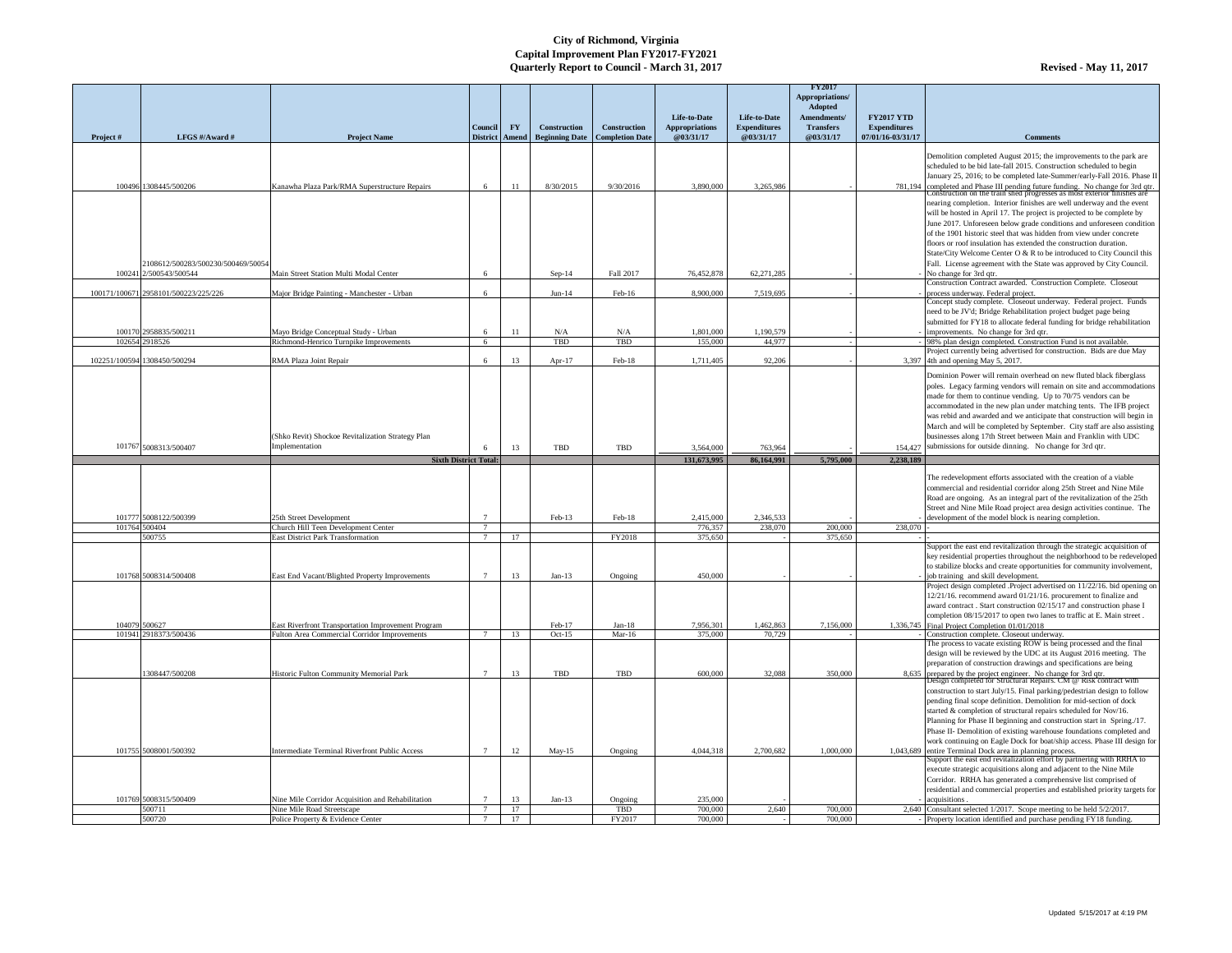|           |                                         |                                                                                                                  |                              |           |                                   |                        |                          |                       | <b>FY2017</b><br>Appropriations/     |                     |                                                                                                                                                           |
|-----------|-----------------------------------------|------------------------------------------------------------------------------------------------------------------|------------------------------|-----------|-----------------------------------|------------------------|--------------------------|-----------------------|--------------------------------------|---------------------|-----------------------------------------------------------------------------------------------------------------------------------------------------------|
|           |                                         |                                                                                                                  |                              |           |                                   |                        | Life-to-Date             | Life-to-Date          | <b>Adopted</b><br><b>Amendments/</b> | <b>FY2017 YTD</b>   |                                                                                                                                                           |
|           |                                         |                                                                                                                  | <b>Council</b>               | <b>FY</b> | <b>Construction</b>               | <b>Construction</b>    | <b>Appropriations</b>    | <b>Expenditures</b>   | <b>Transfers</b>                     | <b>Expenditures</b> |                                                                                                                                                           |
| Project # | LFGS #/Award #                          | <b>Project Name</b>                                                                                              |                              |           | District   Amend   Beginning Date | <b>Completion Date</b> | @03/31/17                | @03/31/17             | @03/31/17                            | 07/01/16-03/31/17   | <b>Comments</b>                                                                                                                                           |
|           |                                         |                                                                                                                  |                              |           |                                   |                        |                          |                       |                                      |                     | Demolition completed August 2015; the improvements to the park are                                                                                        |
|           |                                         |                                                                                                                  |                              |           |                                   |                        |                          |                       |                                      |                     | scheduled to be bid late-fall 2015. Construction scheduled to begin<br>January 25, 2016; to be completed late-Summer/early-Fall 2016. Phase II            |
|           | 100496 1308445/500206                   | Kanawha Plaza Park/RMA Superstructure Repairs                                                                    | 6                            | 11        | 8/30/2015                         | 9/30/2016              | 3,890,000                | 3,265,986             |                                      |                     | 781,194 completed and Phase III pending future funding. No change for 3rd qtr.<br>Construction on the train shed progresses as most exterior finishes are |
|           |                                         |                                                                                                                  |                              |           |                                   |                        |                          |                       |                                      |                     |                                                                                                                                                           |
|           |                                         |                                                                                                                  |                              |           |                                   |                        |                          |                       |                                      |                     | nearing completion. Interior finishes are well underway and the event<br>will be hosted in April 17. The project is projected to be complete by           |
|           |                                         |                                                                                                                  |                              |           |                                   |                        |                          |                       |                                      |                     | June 2017. Unforeseen below grade conditions and unforeseen condition                                                                                     |
|           |                                         |                                                                                                                  |                              |           |                                   |                        |                          |                       |                                      |                     | of the 1901 historic steel that was hidden from view under concrete                                                                                       |
|           |                                         |                                                                                                                  |                              |           |                                   |                        |                          |                       |                                      |                     | floors or roof insulation has extended the construction duration.<br>State/City Welcome Center O & R to be introduced to City Council this                |
|           | 2108612/500283/500230/500469/50054      |                                                                                                                  |                              |           |                                   |                        |                          |                       |                                      |                     | Fall. License agreement with the State was approved by City Council.                                                                                      |
|           | 100241 2/500543/500544                  | Main Street Station Multi Modal Center                                                                           |                              |           | $Sep-14$                          | Fall 2017              | 76,452,878               | 62,271,285            |                                      |                     | $\sim$ No change for 3rd qtr.                                                                                                                             |
|           |                                         |                                                                                                                  |                              |           |                                   |                        |                          |                       |                                      |                     | Construction Contract awarded. Construction Complete. Closeout                                                                                            |
|           | 100171/100671 2958101/500223/225/226    | Major Bridge Painting - Manchester - Urban                                                                       | -6                           |           | $Jun-14$                          | Feb-16                 | 8,900,000                | 7,519,695             |                                      |                     | process underway. Federal project.<br>Concept study complete. Closeout underway. Federal project. Funds                                                   |
|           |                                         |                                                                                                                  |                              |           |                                   |                        |                          |                       |                                      |                     | need to be JV'd; Bridge Rehabilitation project budget page being                                                                                          |
|           |                                         |                                                                                                                  |                              |           |                                   |                        |                          |                       |                                      |                     | submitted for FY18 to allocate federal funding for bridge rehabilitation                                                                                  |
|           | 100170 2958835/500211<br>102654 2918526 | Mayo Bridge Conceptual Study - Urban<br>Richmond-Henrico Turnpike Improvements                                   | -6<br>6                      | 11        | N/A<br><b>TBD</b>                 | N/A<br><b>TBD</b>      | 1,801,000<br>155,000     | 1,190,579<br>44,977   |                                      |                     | - improvements. No change for 3rd qtr.<br>98% plan design completed. Construction Fund is not available.                                                  |
|           |                                         |                                                                                                                  |                              |           |                                   |                        |                          |                       |                                      |                     | Project currently being advertised for construction. Bids are due May                                                                                     |
|           | 102251/100594 1308450/500294            | RMA Plaza Joint Repair                                                                                           |                              | 13        | Apr- $17$                         | Feb-18                 | 1,711,405                | 92,206                |                                      |                     | 3,397 4th and opening May 5, 2017.                                                                                                                        |
|           |                                         |                                                                                                                  |                              |           |                                   |                        |                          |                       |                                      |                     | Dominion Power will remain overhead on new fluted black fiberglass                                                                                        |
|           |                                         |                                                                                                                  |                              |           |                                   |                        |                          |                       |                                      |                     | poles. Legacy farming vendors will remain on site and accommodations                                                                                      |
|           |                                         |                                                                                                                  |                              |           |                                   |                        |                          |                       |                                      |                     | made for them to continue vending. Up to 70/75 vendors can be<br>accommodated in the new plan under matching tents. The IFB project                       |
|           |                                         |                                                                                                                  |                              |           |                                   |                        |                          |                       |                                      |                     | was rebid and awarded and we anticipate that construction will begin in                                                                                   |
|           |                                         |                                                                                                                  |                              |           |                                   |                        |                          |                       |                                      |                     | March and will be completed by September. City staff are also assisting                                                                                   |
|           |                                         | (Shko Revit) Shockoe Revitalization Strategy Plan                                                                |                              |           |                                   |                        |                          |                       |                                      |                     | businesses along 17th Street between Main and Franklin with UDC                                                                                           |
|           | 101767 5008313/500407                   | Implementation                                                                                                   | <b>Sixth District Total:</b> | 13        | <b>TBD</b>                        | TBD                    | 3,564,000<br>131,673,995 | 763,964<br>86,164,991 | 5,795,000                            | 2,238,189           | 154,427 submissions for outside dinning. No change for 3rd qtr.                                                                                           |
|           |                                         |                                                                                                                  |                              |           |                                   |                        |                          |                       |                                      |                     |                                                                                                                                                           |
|           |                                         |                                                                                                                  |                              |           |                                   |                        |                          |                       |                                      |                     | The redevelopment efforts associated with the creation of a viable                                                                                        |
|           |                                         |                                                                                                                  |                              |           |                                   |                        |                          |                       |                                      |                     |                                                                                                                                                           |
|           |                                         |                                                                                                                  |                              |           |                                   |                        |                          |                       |                                      |                     | commercial and residential corridor along 25th Street and Nine Mile                                                                                       |
|           |                                         |                                                                                                                  |                              |           |                                   |                        |                          |                       |                                      |                     | Road are ongoing. As an integral part of the revitalization of the 25th                                                                                   |
|           | 101777 5008122/500399                   | 25th Street Development                                                                                          |                              |           | $Feb-13$                          | Feb-18                 | 2,415,000                | 2,346,533             |                                      |                     | Street and Nine Mile Road project area design activities continue. The<br>- development of the model block is nearing completion.                         |
| 101764    | 500404                                  | Church Hill Teen Development Center                                                                              |                              |           |                                   |                        | 776,357                  | 238,070               | 200,000                              | 238,070             |                                                                                                                                                           |
|           | 500755                                  | <b>East District Park Transformation</b>                                                                         |                              | 17        |                                   | FY2018                 | 375,650                  |                       | 375,650                              |                     | Support the east end revitalization through the strategic acquisition of                                                                                  |
|           |                                         |                                                                                                                  |                              |           |                                   |                        |                          |                       |                                      |                     | key residential properties throughout the neighborhood to be redeveloped                                                                                  |
|           |                                         |                                                                                                                  |                              |           |                                   |                        |                          |                       |                                      |                     | to stabilize blocks and create opportunities for community involvement,                                                                                   |
|           | 101768 5008314/500408                   | East End Vacant/Blighted Property Improvements                                                                   |                              | 13        | $Jan-13$                          | Ongoing                | 450,000                  |                       |                                      |                     | job training and skill development                                                                                                                        |
|           |                                         |                                                                                                                  |                              |           |                                   |                        |                          |                       |                                      |                     | Project design completed .Project advertised on 11/22/16. bid opening on<br>$12/21/16$ . recommend award 01/21/16. procurement to finalize and            |
|           |                                         |                                                                                                                  |                              |           |                                   |                        |                          |                       |                                      |                     | award contract. Start construction 02/15/17 and construction phase I                                                                                      |
|           | 104079 500627                           |                                                                                                                  |                              |           | Feb-17                            | Jan-18                 |                          | 1,462,863             |                                      |                     | completion 08/15/2017 to open two lanes to traffic at E. Main street                                                                                      |
| 101941    | 2918373/500436                          | <b>East Riverfront Transportation Improvement Program</b><br><b>Fulton Area Commercial Corridor Improvements</b> |                              | 13        | Oct- $15$                         | Mar-16                 | 7,956,301<br>375,000     | 70,729                | 7,156,000                            |                     | 1,336,745 Final Project Completion $01/01/2018$<br>Construction complete. Closeout underway.                                                              |
|           |                                         |                                                                                                                  |                              |           |                                   |                        |                          |                       |                                      |                     | The process to vacate existing ROW is being processed and the final                                                                                       |
|           |                                         |                                                                                                                  |                              |           |                                   |                        |                          |                       |                                      |                     | design will be reviewed by the UDC at its August 2016 meeting. The<br>preparation of construction drawings and specifications are being                   |
|           | 1308447/500208                          | Historic Fulton Community Memorial Park                                                                          |                              | 13        | <b>TBD</b>                        | TBD                    | 600,000                  | 32,088                | 350,000                              |                     |                                                                                                                                                           |
|           |                                         |                                                                                                                  |                              |           |                                   |                        |                          |                       |                                      |                     | 8,635 prepared by the project engineer. No change for 3rd qtr.<br>Design completed for Structural Repairs. CM @ Risk contract with                        |
|           |                                         |                                                                                                                  |                              |           |                                   |                        |                          |                       |                                      |                     | construction to start July/15. Final parking/pedestrian design to follow<br>pending final scope definition. Demolition for mid-section of dock            |
|           |                                         |                                                                                                                  |                              |           |                                   |                        |                          |                       |                                      |                     | started & completion of structural repairs scheduled for Nov/16.                                                                                          |
|           |                                         |                                                                                                                  |                              |           |                                   |                        |                          |                       |                                      |                     | Planning for Phase II beginning and construction start in Spring./17.                                                                                     |
|           |                                         |                                                                                                                  |                              |           |                                   |                        |                          |                       |                                      |                     | Phase II- Demolition of existing warehouse foundations completed and                                                                                      |
|           | 101755 5008001/500392                   | <b>Intermediate Terminal Riverfront Public Access</b>                                                            |                              | 12        | $May-15$                          | Ongoing                | 4,044,318                | 2,700,682             | 1,000,000                            |                     | work continuing on Eagle Dock for boat/ship access. Phase III design for<br>1,043,689 entire Terminal Dock area in planning process.                      |
|           |                                         |                                                                                                                  |                              |           |                                   |                        |                          |                       |                                      |                     | Support the east end revitalization effort by partnering with RRHA to                                                                                     |
|           |                                         |                                                                                                                  |                              |           |                                   |                        |                          |                       |                                      |                     | execute strategic acquisitions along and adjacent to the Nine Mile                                                                                        |
|           |                                         |                                                                                                                  |                              |           |                                   |                        |                          |                       |                                      |                     | Corridor. RRHA has generated a comprehensive list comprised of<br>residential and commercial properties and established priority targets for              |
|           | 101769 5008315/500409                   | Nine Mile Corridor Acquisition and Rehabilitation                                                                |                              | 13        | $Jan-13$                          | Ongoing                | 235,000                  |                       |                                      |                     | - acquisitions.                                                                                                                                           |
|           | 500711<br>500720                        | Nine Mile Road Streetscape<br>Police Property & Evidence Center                                                  |                              | 17<br>17  |                                   | <b>TBD</b><br>FY2017   | 700,000<br>700,000       | 2,640                 | 700,000<br>700,000                   |                     | 2,640 Consultant selected 1/2017. Scope meeting to be held 5/2/2017.<br>Property location identified and purchase pending FY18 funding.                   |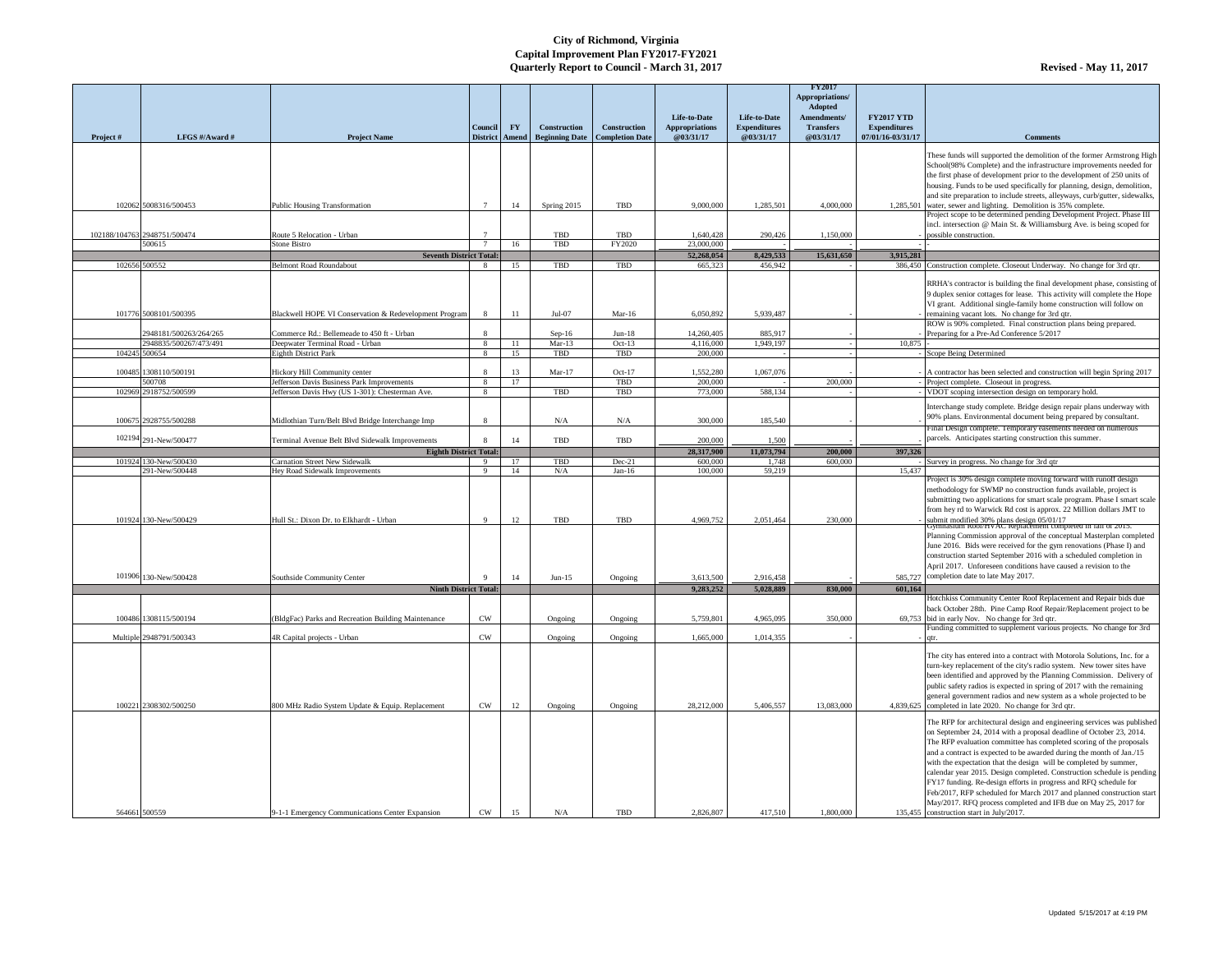| Project # | LFGS #/Award #                          | <b>Project Name</b>                                                   | Council  <br><b>District</b> | $\mathbf{F}\mathbf{Y}$ | <b>Construction</b><br>Amend   Beginning Date   Completion Date | <b>Construction</b> | Life-to-Date<br><b>Appropriations</b><br>@03/31/17 | Life-to-Date<br><b>Expenditures</b><br>@03/31/17 | <b>FY2017</b><br>Appropriations/<br>Adopted<br>Amendments/<br><b>Transfers</b><br>@03/31/17 | <b>FY2017 YTD</b><br><b>Expenditures</b><br>07/01/16-03/31/17 | <b>Comments</b>                                                                                                                                                                                                                                                                                                                                                                                                                                                                                                                                                                                                                                                                                          |
|-----------|-----------------------------------------|-----------------------------------------------------------------------|------------------------------|------------------------|-----------------------------------------------------------------|---------------------|----------------------------------------------------|--------------------------------------------------|---------------------------------------------------------------------------------------------|---------------------------------------------------------------|----------------------------------------------------------------------------------------------------------------------------------------------------------------------------------------------------------------------------------------------------------------------------------------------------------------------------------------------------------------------------------------------------------------------------------------------------------------------------------------------------------------------------------------------------------------------------------------------------------------------------------------------------------------------------------------------------------|
|           |                                         |                                                                       |                              |                        |                                                                 |                     |                                                    |                                                  |                                                                                             |                                                               | These funds will supported the demolition of the former Armstrong High<br>School(98% Complete) and the infrastructure improvements needed for<br>the first phase of development prior to the development of 250 units of<br>housing. Funds to be used specifically for planning, design, demolition,                                                                                                                                                                                                                                                                                                                                                                                                     |
|           | 102062 5008316/500453                   | <b>Public Housing Transformation</b>                                  | $\overline{7}$               | 14                     | Spring 2015                                                     | TBD                 | 9,000,000                                          | 1,285,501                                        | 4,000,000                                                                                   |                                                               | and site preparation to include streets, alleyways, curb/gutter, sidewalks,<br>1,285,501 water, sewer and lighting. Demolition is 35% complete.<br>Project scope to be determined pending Development Project. Phase III                                                                                                                                                                                                                                                                                                                                                                                                                                                                                 |
|           | 102188/104763 2948751/500474            | Route 5 Relocation - Urban                                            |                              |                        | TBD                                                             | TBD                 | 1,640,428                                          | 290,426                                          | 1,150,000                                                                                   |                                                               | incl. intersection @ Main St. & Williamsburg Ave. is being scoped for<br>possible construction.                                                                                                                                                                                                                                                                                                                                                                                                                                                                                                                                                                                                          |
|           | 500615                                  | Stone Bistro                                                          |                              | 16                     | TBD                                                             | FY2020              | 23,000,000                                         |                                                  |                                                                                             |                                                               |                                                                                                                                                                                                                                                                                                                                                                                                                                                                                                                                                                                                                                                                                                          |
|           |                                         | <b>Seventh District Total:</b>                                        |                              |                        |                                                                 |                     | 52,268,054                                         | 8,429,533                                        | 15,631,650                                                                                  | 3,915,281                                                     |                                                                                                                                                                                                                                                                                                                                                                                                                                                                                                                                                                                                                                                                                                          |
|           | 102656 500552                           | <b>Belmont Road Roundabout</b>                                        |                              | 15                     | TBD                                                             | TBD                 | 665,323                                            | 456,942                                          |                                                                                             |                                                               | 386,450 Construction complete. Closeout Underway. No change for 3rd qtr.                                                                                                                                                                                                                                                                                                                                                                                                                                                                                                                                                                                                                                 |
|           | 101776 5008101/500395                   | Blackwell HOPE VI Conservation & Redevelopment Program                |                              | -11                    | $Jul-07$                                                        | Mar-16              | 6,050,892                                          | 5,939,487                                        |                                                                                             |                                                               | RRHA's contractor is building the final development phase, consisting of<br>9 duplex senior cottages for lease. This activity will complete the Hope<br>VI grant. Additional single-family home construction will follow on<br>remaining vacant lots. No change for 3rd qtr.                                                                                                                                                                                                                                                                                                                                                                                                                             |
|           |                                         |                                                                       |                              |                        |                                                                 |                     |                                                    |                                                  |                                                                                             |                                                               | ROW is 90% completed. Final construction plans being prepared.                                                                                                                                                                                                                                                                                                                                                                                                                                                                                                                                                                                                                                           |
|           | 2948181/500263/264/265                  | Commerce Rd.: Bellemeade to 450 ft - Urban                            |                              |                        | $Sep-16$                                                        | $Jun-18$            | 14,260,405                                         | 885,917                                          |                                                                                             |                                                               | Preparing for a Pre-Ad Conference 5/2017                                                                                                                                                                                                                                                                                                                                                                                                                                                                                                                                                                                                                                                                 |
|           | 2948835/500267/473/491<br>104245 500654 | Deepwater Terminal Road - Urban<br>Eighth District Park               | 8<br>- 8                     | -11<br>15              | $Mar-13$<br>TBD                                                 | $Oct-13$<br>TBD     | 4,116,000<br>200,000                               | 1,949,197                                        |                                                                                             | 10,875                                                        | Scope Being Determined                                                                                                                                                                                                                                                                                                                                                                                                                                                                                                                                                                                                                                                                                   |
|           |                                         |                                                                       |                              |                        |                                                                 |                     |                                                    |                                                  |                                                                                             |                                                               |                                                                                                                                                                                                                                                                                                                                                                                                                                                                                                                                                                                                                                                                                                          |
|           | 100485 1308110/500191                   | Hickory Hill Community center                                         |                              | 13                     | $Mar-17$                                                        | $Oct-17$            | 1,552,280                                          | 1,067,076                                        |                                                                                             |                                                               | A contractor has been selected and construction will begin Spring 2017                                                                                                                                                                                                                                                                                                                                                                                                                                                                                                                                                                                                                                   |
|           | 500708                                  | Jefferson Davis Business Park Improvements                            | - 8                          | 17                     |                                                                 | TBD                 | 200,000                                            |                                                  | 200,000                                                                                     |                                                               | Project complete. Closeout in progress.                                                                                                                                                                                                                                                                                                                                                                                                                                                                                                                                                                                                                                                                  |
|           | 102969 2918752/500599                   | Jefferson Davis Hwy (US 1-301): Chesterman Ave.                       | - 8                          |                        | TBD                                                             | TBD                 | 773,000                                            | 588,134                                          |                                                                                             |                                                               | VDOT scoping intersection design on temporary hold.                                                                                                                                                                                                                                                                                                                                                                                                                                                                                                                                                                                                                                                      |
|           | 100675 2928755/500288                   | Midlothian Turn/Belt Blvd Bridge Interchange Imp                      |                              |                        | N/A                                                             | N/A                 | 300,000                                            | 185,540                                          |                                                                                             |                                                               | Interchange study complete. Bridge design repair plans underway with<br>90% plans. Environmental document being prepared by consultant.                                                                                                                                                                                                                                                                                                                                                                                                                                                                                                                                                                  |
|           |                                         |                                                                       |                              |                        |                                                                 |                     |                                                    |                                                  |                                                                                             |                                                               | Final Design complete. Temporary easements needed on numerous                                                                                                                                                                                                                                                                                                                                                                                                                                                                                                                                                                                                                                            |
|           | 102194 291-New/500477                   | Terminal Avenue Belt Blvd Sidewalk Improvements                       |                              | 14                     | TBD                                                             | TBD                 | 200,000                                            | 1,500                                            |                                                                                             |                                                               | parcels. Anticipates starting construction this summer.                                                                                                                                                                                                                                                                                                                                                                                                                                                                                                                                                                                                                                                  |
|           | 101924 130-New/500430                   | <b>Eighth District Total:</b><br><b>Carnation Street New Sidewalk</b> | $\mathbf{Q}$                 |                        |                                                                 |                     | 28,317,900                                         | 11,073,794                                       | 200,000                                                                                     | 397,326                                                       |                                                                                                                                                                                                                                                                                                                                                                                                                                                                                                                                                                                                                                                                                                          |
|           | 291-New/500448                          | Hey Road Sidewalk Improvements                                        | - 9                          | 14                     | <b>TBD</b><br>N/A                                               | $Dec-21$<br>Jan-16  | 600,000<br>100,000                                 | 1,748<br>59,219                                  | 600,000                                                                                     | 15,437                                                        | Survey in progress. No change for 3rd qtr                                                                                                                                                                                                                                                                                                                                                                                                                                                                                                                                                                                                                                                                |
|           | 101924 130-New/500429                   | Hull St.: Dixon Dr. to Elkhardt - Urban                               | $\mathbf Q$                  | 12                     | TBD                                                             | TBD                 | 4,969,752                                          | 2,051,464                                        | 230,000                                                                                     |                                                               | Project is 30% design complete moving forward with runoff design<br>methodology for SWMP no construction funds available, project is<br>submitting two applications for smart scale program. Phase I smart scale<br>from hey rd to Warwick Rd cost is approx. 22 Million dollars JMT to<br>submit modified 30% plans design 05/01/17<br>crymnasium Root/HVAC Repiacement completed in fail of 2015.<br>Planning Commission approval of the conceptual Masterplan completed<br>June 2016. Bids were received for the gym renovations (Phase I) and                                                                                                                                                        |
|           | 101906 130-New/500428                   | Southside Community Center                                            |                              |                        | $Jun-15$                                                        | Ongoing             | 3,613,500                                          | 2,916,458                                        |                                                                                             |                                                               | construction started September 2016 with a scheduled completion in<br>April 2017. Unforeseen conditions have caused a revision to the<br>585,727 completion date to late May 2017.                                                                                                                                                                                                                                                                                                                                                                                                                                                                                                                       |
|           |                                         | <b>Ninth District Total:</b>                                          |                              |                        |                                                                 |                     | 9,283,252                                          | 5,028,889                                        | 830,000                                                                                     | 601,164                                                       |                                                                                                                                                                                                                                                                                                                                                                                                                                                                                                                                                                                                                                                                                                          |
|           | 100486 1308115/500194                   | (BldgFac) Parks and Recreation Building Maintenance                   | <b>CW</b>                    |                        | Ongoing                                                         | Ongoing             | 5,759,801                                          | 4,965,095                                        | 350,000                                                                                     |                                                               | Hotchkiss Community Center Roof Replacement and Repair bids due<br>back October 28th. Pine Camp Roof Repair/Replacement project to be<br>69,753 bid in early Nov. No change for 3rd qtr.                                                                                                                                                                                                                                                                                                                                                                                                                                                                                                                 |
|           |                                         |                                                                       |                              |                        |                                                                 |                     |                                                    |                                                  |                                                                                             |                                                               | Funding committed to supplement various projects. No change for 3rd                                                                                                                                                                                                                                                                                                                                                                                                                                                                                                                                                                                                                                      |
|           | Multiple 2948791/500343                 | 4R Capital projects - Urban                                           | <b>CW</b>                    |                        | Ongoing                                                         | Ongoing             | 1,665,000                                          | 1,014,355                                        |                                                                                             |                                                               |                                                                                                                                                                                                                                                                                                                                                                                                                                                                                                                                                                                                                                                                                                          |
|           | 100221 2308302/500250                   | 800 MHz Radio System Update & Equip. Replacement                      | <b>CW</b>                    | 12                     | Ongoing                                                         | Ongoing             | 28,212,000                                         | 5,406,557                                        | 13,083,000                                                                                  |                                                               | The city has entered into a contract with Motorola Solutions, Inc. for a<br>turn-key replacement of the city's radio system. New tower sites have<br>been identified and approved by the Planning Commission. Delivery of<br>public safety radios is expected in spring of 2017 with the remaining<br>general government radios and new system as a whole projected to be<br>4,839,625 completed in late 2020. No change for 3rd qtr.                                                                                                                                                                                                                                                                    |
|           | 564661 500559                           | 9-1-1 Emergency Communications Center Expansion                       | <b>CW</b>                    | 15                     | N/A                                                             | TBD                 | 2,826,807                                          | 417,510                                          | 1,800,000                                                                                   |                                                               | The RFP for architectural design and engineering services was published<br>on September 24, 2014 with a proposal deadline of October 23, 2014.<br>The RFP evaluation committee has completed scoring of the proposals<br>and a contract is expected to be awarded during the month of Jan./15<br>with the expectation that the design will be completed by summer,<br>calendar year 2015. Design completed. Construction schedule is pending<br>FY17 funding. Re-design efforts in progress and RFQ schedule for<br>Feb/2017, RFP scheduled for March 2017 and planned construction start<br>May/2017. RFQ process completed and IFB due on May 25, 2017 for<br>135,455 construction start in July/2017. |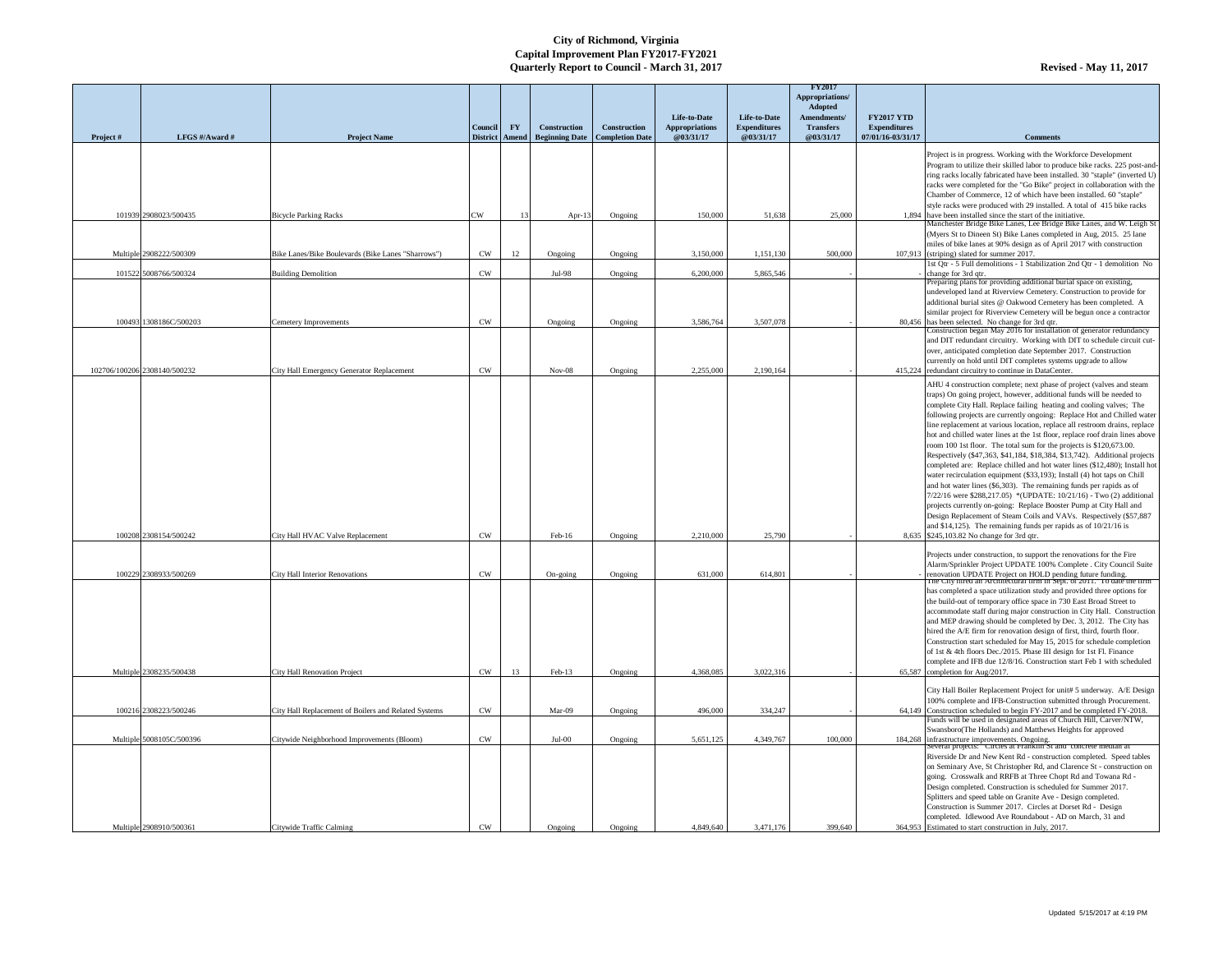|          |                              |                                                      | <b>Council</b> | <b>FY</b>      | <b>Construction</b>                                 | <b>Construction</b> | Life-to-Date<br><b>Appropriations</b> | Life-to-Date<br><b>Expenditures</b> | <b>FY2017</b><br>Appropriations/<br><b>Adopted</b><br><b>Amendments</b><br><b>Transfers</b> | <b>FY2017 YTD</b><br><b>Expenditures</b> |                                                                                                                                                                                                                                                                                                                                                                                                                                                                                                                                                                                                                                                                                                                                                                                                                                                                                                                                                                                                                                                                                                                                                                                        |
|----------|------------------------------|------------------------------------------------------|----------------|----------------|-----------------------------------------------------|---------------------|---------------------------------------|-------------------------------------|---------------------------------------------------------------------------------------------|------------------------------------------|----------------------------------------------------------------------------------------------------------------------------------------------------------------------------------------------------------------------------------------------------------------------------------------------------------------------------------------------------------------------------------------------------------------------------------------------------------------------------------------------------------------------------------------------------------------------------------------------------------------------------------------------------------------------------------------------------------------------------------------------------------------------------------------------------------------------------------------------------------------------------------------------------------------------------------------------------------------------------------------------------------------------------------------------------------------------------------------------------------------------------------------------------------------------------------------|
| Project# | LFGS #/Award #               | <b>Project Name</b>                                  |                |                | District   Amend   Beginning Date   Completion Date |                     | @03/31/17                             | @03/31/17                           | @03/31/17                                                                                   | 07/01/16-03/31/17                        | <b>Comments</b>                                                                                                                                                                                                                                                                                                                                                                                                                                                                                                                                                                                                                                                                                                                                                                                                                                                                                                                                                                                                                                                                                                                                                                        |
|          |                              |                                                      |                |                |                                                     |                     |                                       |                                     |                                                                                             |                                          | Project is in progress. Working with the Workforce Development<br>Program to utilize their skilled labor to produce bike racks. 225 post-and-<br>ring racks locally fabricated have been installed. 30 "staple" (inverted U)<br>racks were completed for the "Go Bike" project in collaboration with the<br>Chamber of Commerce, 12 of which have been installed. 60 "staple"<br>style racks were produced with 29 installed. A total of 415 bike racks                                                                                                                                                                                                                                                                                                                                                                                                                                                                                                                                                                                                                                                                                                                                |
|          | 101939 2908023/500435        | <b>Bicycle Parking Racks</b>                         | CW             | 1 <sup>3</sup> | Apr-13                                              | Ongoing             | 150,000                               | 51,638                              | 25,000                                                                                      |                                          | 1,894 have been installed since the start of the initiative.<br>Manchester Bridge Bike Lanes, Lee Bridge Bike Lanes, and W. Leigh St                                                                                                                                                                                                                                                                                                                                                                                                                                                                                                                                                                                                                                                                                                                                                                                                                                                                                                                                                                                                                                                   |
|          | Multiple 2908222/500309      | Bike Lanes/Bike Boulevards (Bike Lanes "Sharrows")   | <b>CW</b>      | 12             | Ongoing                                             | Ongoing             | 3,150,000                             | 1,151,130                           | 500,000                                                                                     |                                          | (Myers St to Dineen St) Bike Lanes completed in Aug, 2015. 25 lane<br>miles of bike lanes at 90% design as of April 2017 with construction<br>107,913 (striping) slated for summer 2017.<br>1st Qtr - 5 Full demolitions - 1 Stabilization 2nd Qtr - 1 demolition No                                                                                                                                                                                                                                                                                                                                                                                                                                                                                                                                                                                                                                                                                                                                                                                                                                                                                                                   |
|          | 101522 5008766/500324        | <b>Building Demolition</b>                           | <b>CW</b>      |                | Jul-98                                              | Ongoing             | 6,200,000                             | 5,865,546                           |                                                                                             |                                          | change for 3rd qtr.                                                                                                                                                                                                                                                                                                                                                                                                                                                                                                                                                                                                                                                                                                                                                                                                                                                                                                                                                                                                                                                                                                                                                                    |
|          | 100493 1308186C/500203       | <b>Cemetery Improvements</b>                         | <b>CW</b>      |                | Ongoing                                             | Ongoing             | 3,586,764                             | 3,507,078                           |                                                                                             |                                          | Preparing plans for providing additional burial space on existing,<br>undeveloped land at Riverview Cemetery. Construction to provide for<br>additional burial sites @ Oakwood Cemetery has been completed. A<br>similar project for Riverview Cemetery will be begun once a contractor<br>80,456 has been selected. No change for 3rd qtr.                                                                                                                                                                                                                                                                                                                                                                                                                                                                                                                                                                                                                                                                                                                                                                                                                                            |
|          |                              |                                                      |                |                |                                                     |                     |                                       |                                     |                                                                                             |                                          | Construction began May 2016 for installation of generator redundancy                                                                                                                                                                                                                                                                                                                                                                                                                                                                                                                                                                                                                                                                                                                                                                                                                                                                                                                                                                                                                                                                                                                   |
|          | 102706/100206 2308140/500232 | City Hall Emergency Generator Replacement            | <b>CW</b>      |                | $Nov-08$                                            | Ongoing             | 2,255,000                             | 2,190,164                           |                                                                                             |                                          | and DIT redundant circuitry. Working with DIT to schedule circuit cut-<br>over, anticipated completion date September 2017. Construction<br>currently on hold until DIT completes systems upgrade to allow<br>415,224 redundant circuitry to continue in DataCenter.                                                                                                                                                                                                                                                                                                                                                                                                                                                                                                                                                                                                                                                                                                                                                                                                                                                                                                                   |
|          | 100208 2308154/500242        | City Hall HVAC Valve Replacement                     | <b>CW</b>      |                | Feb-16                                              | Ongoing             | 2,210,000                             | 25,790                              |                                                                                             |                                          | AHU 4 construction complete; next phase of project (valves and steam<br>traps) On going project, however, additional funds will be needed to<br>complete City Hall. Replace failing heating and cooling valves; The<br>following projects are currently ongoing: Replace Hot and Chilled water<br>line replacement at various location, replace all restroom drains, replace<br>hot and chilled water lines at the 1st floor, replace roof drain lines above<br>room 100 1st floor. The total sum for the projects is \$120,673.00.<br>Respectively (\$47,363, \$41,184, \$18,384, \$13,742). Additional projects<br>completed are: Replace chilled and hot water lines (\$12,480); Install hot<br>water recirculation equipment (\$33,193); Install (4) hot taps on Chill<br>and hot water lines (\$6,303). The remaining funds per rapids as of<br>7/22/16 were \$288,217.05) *(UPDATE: 10/21/16) - Two (2) additional<br>projects currently on-going: Replace Booster Pump at City Hall and<br>Design Replacement of Steam Coils and VAVs. Respectively (\$57,887<br>and \$14,125). The remaining funds per rapids as of $10/21/16$ is<br>8,635 \$245,103.82 No change for 3rd qtr. |
|          |                              |                                                      |                |                |                                                     |                     |                                       |                                     |                                                                                             |                                          | Projects under construction, to support the renovations for the Fire                                                                                                                                                                                                                                                                                                                                                                                                                                                                                                                                                                                                                                                                                                                                                                                                                                                                                                                                                                                                                                                                                                                   |
|          | 100229 2308933/500269        | City Hall Interior Renovations                       | <b>CW</b>      |                | $On\text{-going}$                                   | Ongoing             | 631,000                               | 614,801                             |                                                                                             |                                          | Alarm/Sprinkler Project UPDATE 100% Complete . City Council Suite                                                                                                                                                                                                                                                                                                                                                                                                                                                                                                                                                                                                                                                                                                                                                                                                                                                                                                                                                                                                                                                                                                                      |
|          | Multiple 2308235/500438      | <b>City Hall Renovation Project</b>                  | <b>CW</b>      | 13             | Feb-13                                              | Ongoing             | 4,368,085                             | 3,022,316                           |                                                                                             |                                          | renovation UPDATE Project on HOLD pending future funding.<br>The City hired an Architectural firm in Sept. of 2011. To date the firm<br>has completed a space utilization study and provided three options for<br>the build-out of temporary office space in 730 East Broad Street to<br>accommodate staff during major construction in City Hall. Construction<br>and MEP drawing should be completed by Dec. 3, 2012. The City has<br>hired the A/E firm for renovation design of first, third, fourth floor.<br>Construction start scheduled for May 15, 2015 for schedule completion<br>of 1st & 4th floors Dec./2015. Phase III design for 1st Fl. Finance<br>complete and IFB due 12/8/16. Construction start Feb 1 with scheduled<br>65,587 completion for Aug/2017.                                                                                                                                                                                                                                                                                                                                                                                                            |
|          |                              |                                                      |                |                |                                                     |                     |                                       |                                     |                                                                                             |                                          | City Hall Boiler Replacement Project for unit# 5 underway. A/E Design                                                                                                                                                                                                                                                                                                                                                                                                                                                                                                                                                                                                                                                                                                                                                                                                                                                                                                                                                                                                                                                                                                                  |
|          | 100216 2308223/500246        | City Hall Replacement of Boilers and Related Systems | <b>CW</b>      |                | Mar-09                                              | Ongoing             | 496,000                               | 334,247                             |                                                                                             |                                          | 100% complete and IFB-Construction submitted through Procurement.<br>64,149 Construction scheduled to begin FY-2017 and be completed FY-2018.<br>Funds will be used in designated areas of Church Hill, Carver/NTW,                                                                                                                                                                                                                                                                                                                                                                                                                                                                                                                                                                                                                                                                                                                                                                                                                                                                                                                                                                    |
|          | Multiple 5008105C/500396     | Citywide Neighborhood Improvements (Bloom)           | <b>CW</b>      |                | $Jul-00$                                            | Ongoing             | 5,651,125                             | 4,349,767                           | 100,000                                                                                     |                                          | Swansboro(The Hollands) and Matthews Heights for approved<br>184,268 infrastructure improvements. Ongoing.                                                                                                                                                                                                                                                                                                                                                                                                                                                                                                                                                                                                                                                                                                                                                                                                                                                                                                                                                                                                                                                                             |
|          | Multiple 2908910/500361      | Citywide Traffic Calming                             | CW             |                | Ongoing                                             | Ongoing             | 4,849,640                             | 3,471,176                           | 399,640                                                                                     |                                          | Several projects: Circles at Franklin St and concrete median at<br>Riverside Dr and New Kent Rd - construction completed. Speed tables<br>on Seminary Ave, St Christopher Rd, and Clarence St - construction on<br>going. Crosswalk and RRFB at Three Chopt Rd and Towana Rd -<br>Design completed. Construction is scheduled for Summer 2017.<br>Splitters and speed table on Granite Ave - Design completed.<br>Construction is Summer 2017. Circles at Dorset Rd - Design<br>completed. Idlewood Ave Roundabout - AD on March, 31 and<br>364,953 Estimated to start construction in July, 2017.                                                                                                                                                                                                                                                                                                                                                                                                                                                                                                                                                                                     |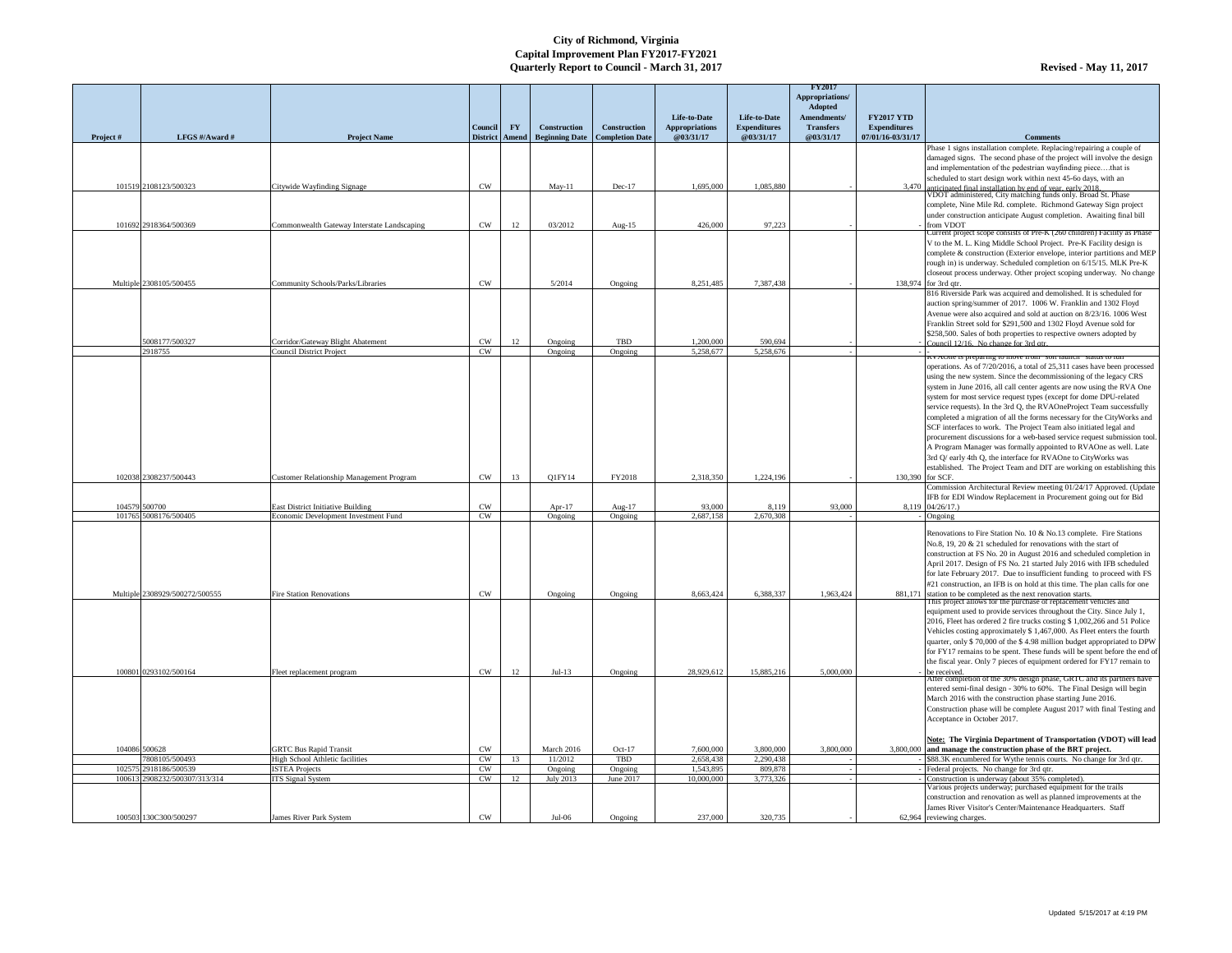|           |                                         |                                                                                  |                        |              |                      |                                                                            |                                                    |                                                  | <b>FY2017</b><br>Appropriations/<br>Adopted  |                                                               |                                                                                                                                                                                                                                                                                                                                                                                                                                                                                                                                                                                                                                                                                                                                                                                                                                         |
|-----------|-----------------------------------------|----------------------------------------------------------------------------------|------------------------|--------------|----------------------|----------------------------------------------------------------------------|----------------------------------------------------|--------------------------------------------------|----------------------------------------------|---------------------------------------------------------------|-----------------------------------------------------------------------------------------------------------------------------------------------------------------------------------------------------------------------------------------------------------------------------------------------------------------------------------------------------------------------------------------------------------------------------------------------------------------------------------------------------------------------------------------------------------------------------------------------------------------------------------------------------------------------------------------------------------------------------------------------------------------------------------------------------------------------------------------|
| Project # | LFGS #/Award #                          | <b>Project Name</b>                                                              | Council                | <b>FY</b>    | <b>Construction</b>  | <b>Construction</b><br>District   Amend   Beginning Date   Completion Date | Life-to-Date<br><b>Appropriations</b><br>@03/31/17 | Life-to-Date<br><b>Expenditures</b><br>@03/31/17 | Amendments/<br><b>Transfers</b><br>@03/31/17 | <b>FY2017 YTD</b><br><b>Expenditures</b><br>07/01/16-03/31/17 | <b>Comments</b>                                                                                                                                                                                                                                                                                                                                                                                                                                                                                                                                                                                                                                                                                                                                                                                                                         |
|           |                                         |                                                                                  |                        |              |                      |                                                                            |                                                    |                                                  |                                              |                                                               | Phase 1 signs installation complete. Replacing/repairing a couple of<br>damaged signs. The second phase of the project will involve the design<br>and implementation of the pedestrian wayfinding piecethat is                                                                                                                                                                                                                                                                                                                                                                                                                                                                                                                                                                                                                          |
|           | 101519 2108123/500323                   | Citywide Wayfinding Signage                                                      | <b>CW</b>              |              | $May-11$             | $Dec-17$                                                                   | 1,695,000                                          | 1,085,880                                        |                                              |                                                               | scheduled to start design work within next 45-60 days, with an<br>3,470 anticipated final installation by end of year, early 2018.<br>VDOT administered, City matching funds only. Broad St. Phase                                                                                                                                                                                                                                                                                                                                                                                                                                                                                                                                                                                                                                      |
|           | 101692 2918364/500369                   |                                                                                  |                        |              |                      |                                                                            |                                                    |                                                  |                                              |                                                               | complete, Nine Mile Rd. complete. Richmond Gateway Sign project<br>under construction anticipate August completion. Awaiting final bill<br>from VDOT                                                                                                                                                                                                                                                                                                                                                                                                                                                                                                                                                                                                                                                                                    |
|           |                                         | Commonwealth Gateway Interstate Landscaping                                      | <b>CW</b>              | 12           | 03/2012              | Aug- $15$                                                                  | 426,000                                            | 97,223                                           |                                              |                                                               | Current project scope consists of Pre-K (260 children) Facility as Phase<br>V to the M. L. King Middle School Project. Pre-K Facility design is                                                                                                                                                                                                                                                                                                                                                                                                                                                                                                                                                                                                                                                                                         |
|           | Multiple 2308105/500455                 |                                                                                  | <b>CW</b>              |              | 5/2014               |                                                                            |                                                    | 7,387,438                                        |                                              |                                                               | complete & construction (Exterior envelope, interior partitions and MEP<br>rough in) is underway. Scheduled completion on 6/15/15. MLK Pre-K<br>close out process underway. Other project scoping underway. No change                                                                                                                                                                                                                                                                                                                                                                                                                                                                                                                                                                                                                   |
|           |                                         | Community Schools/Parks/Libraries                                                |                        |              |                      | Ongoing                                                                    | 8,251,485                                          |                                                  |                                              |                                                               | 138,974 for 3rd qtr.<br>816 Riverside Park was acquired and demolished. It is scheduled for                                                                                                                                                                                                                                                                                                                                                                                                                                                                                                                                                                                                                                                                                                                                             |
|           |                                         |                                                                                  |                        |              |                      |                                                                            |                                                    |                                                  |                                              |                                                               | auction spring/summer of 2017. 1006 W. Franklin and 1302 Floyd<br>Avenue were also acquired and sold at auction on 8/23/16. 1006 West<br>Franklin Street sold for \$291,500 and 1302 Floyd Avenue sold for<br>\$258,500. Sales of both properties to respective owners adopted by                                                                                                                                                                                                                                                                                                                                                                                                                                                                                                                                                       |
|           | 5008177/500327<br>2918755               | Corridor/Gateway Blight Abatement<br><b>Council District Project</b>             | <b>CW</b><br><b>CW</b> | 12           | Ongoing<br>Ongoing   | TBD<br>Ongoing                                                             | 1,200,000<br>5,258,677                             | 590,694<br>5,258,676                             |                                              |                                                               | Council 12/16. No change for 3rd atr.                                                                                                                                                                                                                                                                                                                                                                                                                                                                                                                                                                                                                                                                                                                                                                                                   |
|           |                                         |                                                                                  |                        |              |                      |                                                                            |                                                    |                                                  |                                              |                                                               | <u>in a set a set all the set all the set and the set all the set all the set all the set all the set all the set all the set all the set all the set all the set all the set all the set all the set all the set all the set al</u><br>operations. As of 7/20/2016, a total of 25,311 cases have been processed<br>using the new system. Since the decommissioning of the legacy CRS<br>system in June 2016, all call center agents are now using the RVA One<br>system for most service request types (except for dome DPU-related<br>service requests). In the 3rd Q, the RVAOneProject Team successfully<br>completed a migration of all the forms necessary for the CityWorks and<br>SCF interfaces to work. The Project Team also initiated legal and<br>procurement discussions for a web-based service request submission tool. |
|           | 102038 2308237/500443                   | <b>Customer Relationship Management Program</b>                                  | <b>CW</b>              | 13           | Q1FY14               | FY2018                                                                     | 2,318,350                                          | 1,224,196                                        |                                              | 130,390 for SCF                                               | A Program Manager was formally appointed to RVAOne as well. Late<br>3rd Q/ early 4th Q, the interface for RVAOne to CityWorks was<br>established. The Project Team and DIT are working on establishing this                                                                                                                                                                                                                                                                                                                                                                                                                                                                                                                                                                                                                             |
|           |                                         |                                                                                  |                        |              |                      |                                                                            |                                                    |                                                  |                                              |                                                               | Commission Architectural Review meeting 01/24/17 Approved. (Update<br>IFB for EDI Window Replacement in Procurement going out for Bid                                                                                                                                                                                                                                                                                                                                                                                                                                                                                                                                                                                                                                                                                                   |
|           | 104579 500700<br>101765 5008176/500405  | <b>East District Initiative Building</b><br>Economic Development Investment Fund | <b>CW</b><br><b>CW</b> |              | Apr- $17$<br>Ongoing | Aug- $17$<br>Ongoing                                                       | 93,000<br>2,687,158                                | 8,119<br>2,670,308                               | 93,000                                       |                                                               | $8,119$ 04/26/17.)<br>Ongoing                                                                                                                                                                                                                                                                                                                                                                                                                                                                                                                                                                                                                                                                                                                                                                                                           |
|           | Multiple 2308929/500272/500555          | <b>Fire Station Renovations</b>                                                  | <b>CW</b>              |              | Ongoing              | Ongoing                                                                    | 8,663,424                                          | 6,388,337                                        | 1,963,424                                    | 881,171                                                       | Renovations to Fire Station No. 10 & No.13 complete. Fire Stations<br>No.8, 19, 20 $&$ 21 scheduled for renovations with the start of<br>construction at FS No. 20 in August 2016 and scheduled completion in<br>April 2017. Design of FS No. 21 started July 2016 with IFB scheduled<br>for late February 2017. Due to insufficient funding to proceed with FS<br>#21 construction, an IFB is on hold at this time. The plan calls for one<br>station to be completed as the next renovation starts.                                                                                                                                                                                                                                                                                                                                   |
|           |                                         |                                                                                  |                        |              |                      |                                                                            |                                                    |                                                  |                                              |                                                               | This project allows for the purchase of replacement vehicles and<br>equipment used to provide services throughout the City. Since July 1,<br>2016, Fleet has ordered 2 fire trucks costing \$1,002,266 and 51 Police<br>Vehicles costing approximately \$ 1,467,000. As Fleet enters the fourth<br>quarter, only \$70,000 of the \$4.98 million budget appropriated to DPW<br>for FY17 remains to be spent. These funds will be spent before the end of<br>the fiscal year. Only 7 pieces of equipment ordered for FY17 remain to                                                                                                                                                                                                                                                                                                       |
|           | 100801 0293102/500164                   | Fleet replacement program                                                        | <b>CW</b>              | 12           | $Jul-13$             | Ongoing                                                                    | 28,929,612                                         | 15,885,216                                       | 5,000,000                                    |                                                               | be received.<br>After completion of the 30% design phase, GRTC and its partners have<br>entered semi-final design - 30% to 60%. The Final Design will begin<br>March 2016 with the construction phase starting June 2016.<br>Construction phase will be complete August 2017 with final Testing and<br>Acceptance in October 2017.<br><b>Note: The Virginia Department of Transportation (VDOT) will lead</b>                                                                                                                                                                                                                                                                                                                                                                                                                           |
|           | 104086 500628                           | <b>GRTC Bus Rapid Transit</b>                                                    | <b>CW</b>              |              | March 2016           | $Oct-17$                                                                   | 7,600,000                                          | 3,800,000                                        | 3,800,000                                    |                                                               | 3,800,000 and manage the construction phase of the BRT project.                                                                                                                                                                                                                                                                                                                                                                                                                                                                                                                                                                                                                                                                                                                                                                         |
|           | 7808105/500493<br>102575 2918186/500539 | High School Athletic facilities<br><b>ISTEA Projects</b>                         | <b>CW</b><br><b>CW</b> | 13           | 11/2012<br>Ongoing   | TBD<br>Ongoing                                                             | 2,658,438<br>1,543,895                             | 2,290,438<br>809,878                             |                                              |                                                               | \$88.3K encumbered for Wythe tennis courts. No change for 3rd qtr.<br>Federal projects. No change for 3rd qtr.                                                                                                                                                                                                                                                                                                                                                                                                                                                                                                                                                                                                                                                                                                                          |
|           | 100613 2908232/500307/313/314           | <b>ITS</b> Signal System                                                         | CW                     | $\mathbf{L}$ | July 2013            | June 2017                                                                  | 10,000,000                                         | 3,773,326                                        |                                              |                                                               | Construction is underway (about 35% completed).                                                                                                                                                                                                                                                                                                                                                                                                                                                                                                                                                                                                                                                                                                                                                                                         |
|           | 100503 130C300/500297                   | James River Park System                                                          | <b>CW</b>              |              | $Jul-06$             | Ongoing                                                                    | 237,000                                            | 320,735                                          |                                              |                                                               | Various projects underway; purchased equipment for the trails<br>construction and renovation as well as planned improvements at the<br>James River Visitor's Center/Maintenance Headquarters. Staff<br>62,964 reviewing charges.                                                                                                                                                                                                                                                                                                                                                                                                                                                                                                                                                                                                        |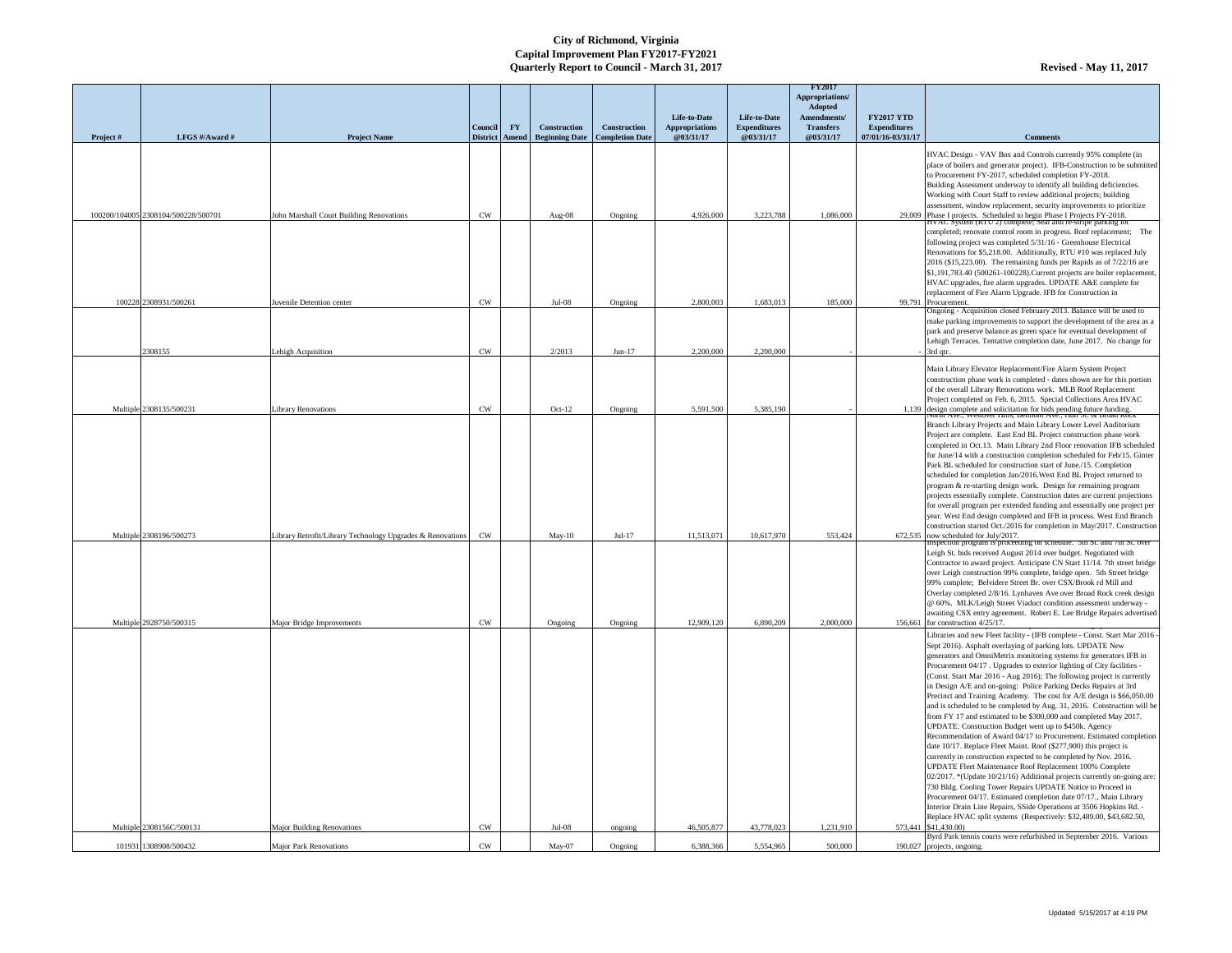| @03/31/17<br>07/01/16-03/31/17<br>Project#<br>LFGS #/Award #<br><b>Project Name</b><br>District   Amend   Beginning Date   Completion Date<br>@03/31/17<br>@03/31/17<br><b>Comments</b><br>HVAC Design - VAV Box and Controls currently 95% complete (in<br>place of boilers and generator project). IFB-Construction to be submitted<br>to Procurement FY-2017, scheduled completion FY-2018.<br>Building Assessment underway to identify all building deficiencies.<br>Working with Court Staff to review additional projects; building<br>assessment, window replacement, security improvements to prioritize<br><b>CW</b><br>Phase I projects. Scheduled to begin Phase I Projects FY-2018.<br>100200/104005 2308104/500228/500701<br>John Marshall Court Building Renovations<br>Aug- $08$<br>4,926,000<br>3,223,788<br>1,086,000<br>Ongoing<br>29,009<br>HVAC System (RTU 2) complete, Seal and re-stripe parking lot<br>completed; renovate control room in progress. Roof replacement; The<br>following project was completed 5/31/16 - Greenhouse Electrical<br>Renovations for \$5,218.00. Additionally, RTU #10 was replaced July<br>2016 (\$15,223.00). The remaining funds per Rapids as of 7/22/16 are<br>\$1,191,783.40 (500261-100228). Current projects are boiler replacement,<br>HVAC upgrades, fire alarm upgrades. UPDATE A&E complete for<br>replacement of Fire Alarm Upgrade. IFB for Construction in<br><b>CW</b><br>Jul-08<br>100228 2308931/500261<br>Ongoing<br>2,800,003<br>1,683,013<br>185,000<br>Juvenile Detention center<br>99,791<br>Procurement.<br>Ongoing - Acquisition closed February 2013. Balance will be used to<br>make parking improvements to support the development of the area as a<br>park and preserve balance as green space for eventual development of<br>Lehigh Terraces. Tentative completion date, June 2017. No change for<br>2308155<br><b>CW</b><br>$Jun-17$<br>Lehigh Acquisition<br>2/2013<br>2,200,000<br>2,200,000<br>3rd qtr.<br>Main Library Elevator Replacement/Fire Alarm System Project<br>construction phase work is completed - dates shown are for this portion<br>of the overall Library Renovations work. MLB Roof Replacement<br>Project completed on Feb. 6, 2015. Special Collections Area HVAC<br><b>CW</b><br>5,385,190<br>Multiple 2308135/500231<br><b>Library Renovations</b><br>Oct- $12$<br>5,591,500<br>1,139 design complete and solicitation for bids pending future funding.<br>The trial Ave Westover Thus, Dennont Ave Then St. $\alpha$ Droad Noc<br>Ongoing<br>Branch Library Projects and Main Library Lower Level Auditorium<br>Project are complete. East End BL Project construction phase work<br>completed in Oct.13. Main Library 2nd Floor renovation IFB scheduled<br>for June/14 with a construction completion scheduled for Feb/15. Ginter<br>Park BL scheduled for construction start of June./15. Completion<br>scheduled for completion Jan/2016. West End BL Project returned to<br>program & re-starting design work. Design for remaining program<br>projects essentially complete. Construction dates are current projections<br>for overall program per extended funding and essentially one project per<br>year. West End design completed and IFB in process. West End Branch<br>construction started Oct./2016 for completion in May/2017. Construction<br>Multiple 2308196/500273<br>Library Retrofit/Library Technology Upgrades & Renovations   CW<br>$Jul-17$<br>11,513,071<br>10,617,970<br>553,424<br>$672,535$ now scheduled for July/2017.<br>$May-10$<br>Inspection program is proceeding on schedule. 5th St. and /th St. over<br>Leigh St. bids received August 2014 over budget. Negotiated with<br>Contractor to award project. Anticipate CN Start 11/14. 7th street bridge<br>over Leigh construction 99% complete, bridge open. 5th Street bridge<br>99% complete; Belvidere Street Br. over CSX/Brook rd Mill and<br>Overlay completed 2/8/16. Lynhaven Ave over Broad Rock creek design<br>@ 60%. MLK/Leigh Street Viaduct condition assessment underway -<br>awaiting CSX entry agreement. Robert E. Lee Bridge Repairs advertised<br>Multiple 2928750/500315<br><b>CW</b><br>12,909,120<br>6,890,209<br>Major Bridge Improvements<br>Ongoing<br>2,000,000<br>156,661 for construction $4/25/17$ .<br>Ongoing<br>Libraries and new Fleet facility - (IFB complete - Const. Start Mar 2016 -<br>Sept 2016). Asphalt overlaying of parking lots. UPDATE New<br>generators and OmniMetrix monitoring systems for generators IFB in<br>Procurement 04/17. Upgrades to exterior lighting of City facilities -<br>(Const. Start Mar 2016 - Aug 2016); The following project is currently<br>in Design A/E and on-going: Police Parking Decks Repairs at 3rd<br>Precinct and Training Academy. The cost for A/E design is \$66,050.00<br>and is scheduled to be completed by Aug. 31, 2016. Construction will be<br>from FY 17 and estimated to be \$300,000 and completed May 2017.<br>UPDATE: Construction Budget went up to \$450k. Agency<br>Recommendation of Award 04/17 to Procurement. Estimated completion<br>date 10/17. Replace Fleet Maint. Roof (\$277,900) this project is<br>currently in construction expected to be completed by Nov. 2016.<br>UPDATE Fleet Maintenance Roof Replacement 100% Complete<br>[02/2017. *(Update 10/21/16) Additional projects currently on-going are:<br>730 Bldg. Cooling Tower Repairs UPDATE Notice to Proceed in<br>Procurement 04/17. Estimated completion date 07/17., Main Library<br>Interior Drain Line Repairs, SSide Operations at 3506 Hopkins Rd. -<br>Replace HVAC split systems (Respectively: \$32,489.00, \$43,682.50,<br><b>CW</b><br>Multiple 2308156C/500131<br>Jul-08<br>46,505,877<br>43,778,023<br>573,441 \$41,430.00)<br>Major Building Renovations<br>1,231,910<br>ongoing<br>Byrd Park tennis courts were refurbished in September 2016. Various<br>101931 1308908/500432<br>190,027 projects, ongoing. |  |                               | Council   | <b>FY</b> | <b>Construction</b> | <b>Construction</b> | Life-to-Date<br><b>Appropriations</b> | Life-to-Date<br><b>Expenditures</b> | <b>FY2017</b><br>Appropriations/<br><b>Adopted</b><br><b>Amendments/</b><br><b>Transfers</b> | <b>FY2017 YTD</b><br><b>Expenditures</b> |  |
|------------------------------------------------------------------------------------------------------------------------------------------------------------------------------------------------------------------------------------------------------------------------------------------------------------------------------------------------------------------------------------------------------------------------------------------------------------------------------------------------------------------------------------------------------------------------------------------------------------------------------------------------------------------------------------------------------------------------------------------------------------------------------------------------------------------------------------------------------------------------------------------------------------------------------------------------------------------------------------------------------------------------------------------------------------------------------------------------------------------------------------------------------------------------------------------------------------------------------------------------------------------------------------------------------------------------------------------------------------------------------------------------------------------------------------------------------------------------------------------------------------------------------------------------------------------------------------------------------------------------------------------------------------------------------------------------------------------------------------------------------------------------------------------------------------------------------------------------------------------------------------------------------------------------------------------------------------------------------------------------------------------------------------------------------------------------------------------------------------------------------------------------------------------------------------------------------------------------------------------------------------------------------------------------------------------------------------------------------------------------------------------------------------------------------------------------------------------------------------------------------------------------------------------------------------------------------------------------------------------------------------------------------------------------------------------------------------------------------------------------------------------------------------------------------------------------------------------------------------------------------------------------------------------------------------------------------------------------------------------------------------------------------------------------------------------------------------------------------------------------------------------------------------------------------------------------------------------------------------------------------------------------------------------------------------------------------------------------------------------------------------------------------------------------------------------------------------------------------------------------------------------------------------------------------------------------------------------------------------------------------------------------------------------------------------------------------------------------------------------------------------------------------------------------------------------------------------------------------------------------------------------------------------------------------------------------------------------------------------------------------------------------------------------------------------------------------------------------------------------------------------------------------------------------------------------------------------------------------------------------------------------------------------------------------------------------------------------------------------------------------------------------------------------------------------------------------------------------------------------------------------------------------------------------------------------------------------------------------------------------------------------------------------------------------------------------------------------------------------------------------------------------------------------------------------------------------------------------------------------------------------------------------------------------------------------------------------------------------------------------------------------------------------------------------------------------------------------------------------------------------------------------------------------------------------------------------------------------------------------------------------------------------------------------------------------------------------------------------------------------------------------------------------------------------------------------------------------------------------------------------------------------------------------------------------------------------------------------------------------------------------------------------------------------------------------------------------------------------------------------------------------------------------------------------------------------------------------------------------------------------------------------------------------------------------------------------------------------------------------------------------------|--|-------------------------------|-----------|-----------|---------------------|---------------------|---------------------------------------|-------------------------------------|----------------------------------------------------------------------------------------------|------------------------------------------|--|
|                                                                                                                                                                                                                                                                                                                                                                                                                                                                                                                                                                                                                                                                                                                                                                                                                                                                                                                                                                                                                                                                                                                                                                                                                                                                                                                                                                                                                                                                                                                                                                                                                                                                                                                                                                                                                                                                                                                                                                                                                                                                                                                                                                                                                                                                                                                                                                                                                                                                                                                                                                                                                                                                                                                                                                                                                                                                                                                                                                                                                                                                                                                                                                                                                                                                                                                                                                                                                                                                                                                                                                                                                                                                                                                                                                                                                                                                                                                                                                                                                                                                                                                                                                                                                                                                                                                                                                                                                                                                                                                                                                                                                                                                                                                                                                                                                                                                                                                                                                                                                                                                                                                                                                                                                                                                                                                                                                                                                                                                                                                                                                                                                                                                                                                                                                                                                                                                                                                                                                                                                  |  |                               |           |           |                     |                     |                                       |                                     |                                                                                              |                                          |  |
|                                                                                                                                                                                                                                                                                                                                                                                                                                                                                                                                                                                                                                                                                                                                                                                                                                                                                                                                                                                                                                                                                                                                                                                                                                                                                                                                                                                                                                                                                                                                                                                                                                                                                                                                                                                                                                                                                                                                                                                                                                                                                                                                                                                                                                                                                                                                                                                                                                                                                                                                                                                                                                                                                                                                                                                                                                                                                                                                                                                                                                                                                                                                                                                                                                                                                                                                                                                                                                                                                                                                                                                                                                                                                                                                                                                                                                                                                                                                                                                                                                                                                                                                                                                                                                                                                                                                                                                                                                                                                                                                                                                                                                                                                                                                                                                                                                                                                                                                                                                                                                                                                                                                                                                                                                                                                                                                                                                                                                                                                                                                                                                                                                                                                                                                                                                                                                                                                                                                                                                                                  |  |                               |           |           |                     |                     |                                       |                                     |                                                                                              |                                          |  |
|                                                                                                                                                                                                                                                                                                                                                                                                                                                                                                                                                                                                                                                                                                                                                                                                                                                                                                                                                                                                                                                                                                                                                                                                                                                                                                                                                                                                                                                                                                                                                                                                                                                                                                                                                                                                                                                                                                                                                                                                                                                                                                                                                                                                                                                                                                                                                                                                                                                                                                                                                                                                                                                                                                                                                                                                                                                                                                                                                                                                                                                                                                                                                                                                                                                                                                                                                                                                                                                                                                                                                                                                                                                                                                                                                                                                                                                                                                                                                                                                                                                                                                                                                                                                                                                                                                                                                                                                                                                                                                                                                                                                                                                                                                                                                                                                                                                                                                                                                                                                                                                                                                                                                                                                                                                                                                                                                                                                                                                                                                                                                                                                                                                                                                                                                                                                                                                                                                                                                                                                                  |  |                               |           |           |                     |                     |                                       |                                     |                                                                                              |                                          |  |
|                                                                                                                                                                                                                                                                                                                                                                                                                                                                                                                                                                                                                                                                                                                                                                                                                                                                                                                                                                                                                                                                                                                                                                                                                                                                                                                                                                                                                                                                                                                                                                                                                                                                                                                                                                                                                                                                                                                                                                                                                                                                                                                                                                                                                                                                                                                                                                                                                                                                                                                                                                                                                                                                                                                                                                                                                                                                                                                                                                                                                                                                                                                                                                                                                                                                                                                                                                                                                                                                                                                                                                                                                                                                                                                                                                                                                                                                                                                                                                                                                                                                                                                                                                                                                                                                                                                                                                                                                                                                                                                                                                                                                                                                                                                                                                                                                                                                                                                                                                                                                                                                                                                                                                                                                                                                                                                                                                                                                                                                                                                                                                                                                                                                                                                                                                                                                                                                                                                                                                                                                  |  |                               |           |           |                     |                     |                                       |                                     |                                                                                              |                                          |  |
|                                                                                                                                                                                                                                                                                                                                                                                                                                                                                                                                                                                                                                                                                                                                                                                                                                                                                                                                                                                                                                                                                                                                                                                                                                                                                                                                                                                                                                                                                                                                                                                                                                                                                                                                                                                                                                                                                                                                                                                                                                                                                                                                                                                                                                                                                                                                                                                                                                                                                                                                                                                                                                                                                                                                                                                                                                                                                                                                                                                                                                                                                                                                                                                                                                                                                                                                                                                                                                                                                                                                                                                                                                                                                                                                                                                                                                                                                                                                                                                                                                                                                                                                                                                                                                                                                                                                                                                                                                                                                                                                                                                                                                                                                                                                                                                                                                                                                                                                                                                                                                                                                                                                                                                                                                                                                                                                                                                                                                                                                                                                                                                                                                                                                                                                                                                                                                                                                                                                                                                                                  |  |                               |           |           |                     |                     |                                       |                                     |                                                                                              |                                          |  |
|                                                                                                                                                                                                                                                                                                                                                                                                                                                                                                                                                                                                                                                                                                                                                                                                                                                                                                                                                                                                                                                                                                                                                                                                                                                                                                                                                                                                                                                                                                                                                                                                                                                                                                                                                                                                                                                                                                                                                                                                                                                                                                                                                                                                                                                                                                                                                                                                                                                                                                                                                                                                                                                                                                                                                                                                                                                                                                                                                                                                                                                                                                                                                                                                                                                                                                                                                                                                                                                                                                                                                                                                                                                                                                                                                                                                                                                                                                                                                                                                                                                                                                                                                                                                                                                                                                                                                                                                                                                                                                                                                                                                                                                                                                                                                                                                                                                                                                                                                                                                                                                                                                                                                                                                                                                                                                                                                                                                                                                                                                                                                                                                                                                                                                                                                                                                                                                                                                                                                                                                                  |  |                               |           |           |                     |                     |                                       |                                     |                                                                                              |                                          |  |
|                                                                                                                                                                                                                                                                                                                                                                                                                                                                                                                                                                                                                                                                                                                                                                                                                                                                                                                                                                                                                                                                                                                                                                                                                                                                                                                                                                                                                                                                                                                                                                                                                                                                                                                                                                                                                                                                                                                                                                                                                                                                                                                                                                                                                                                                                                                                                                                                                                                                                                                                                                                                                                                                                                                                                                                                                                                                                                                                                                                                                                                                                                                                                                                                                                                                                                                                                                                                                                                                                                                                                                                                                                                                                                                                                                                                                                                                                                                                                                                                                                                                                                                                                                                                                                                                                                                                                                                                                                                                                                                                                                                                                                                                                                                                                                                                                                                                                                                                                                                                                                                                                                                                                                                                                                                                                                                                                                                                                                                                                                                                                                                                                                                                                                                                                                                                                                                                                                                                                                                                                  |  |                               |           |           |                     |                     |                                       |                                     |                                                                                              |                                          |  |
|                                                                                                                                                                                                                                                                                                                                                                                                                                                                                                                                                                                                                                                                                                                                                                                                                                                                                                                                                                                                                                                                                                                                                                                                                                                                                                                                                                                                                                                                                                                                                                                                                                                                                                                                                                                                                                                                                                                                                                                                                                                                                                                                                                                                                                                                                                                                                                                                                                                                                                                                                                                                                                                                                                                                                                                                                                                                                                                                                                                                                                                                                                                                                                                                                                                                                                                                                                                                                                                                                                                                                                                                                                                                                                                                                                                                                                                                                                                                                                                                                                                                                                                                                                                                                                                                                                                                                                                                                                                                                                                                                                                                                                                                                                                                                                                                                                                                                                                                                                                                                                                                                                                                                                                                                                                                                                                                                                                                                                                                                                                                                                                                                                                                                                                                                                                                                                                                                                                                                                                                                  |  |                               |           |           |                     |                     |                                       |                                     |                                                                                              |                                          |  |
|                                                                                                                                                                                                                                                                                                                                                                                                                                                                                                                                                                                                                                                                                                                                                                                                                                                                                                                                                                                                                                                                                                                                                                                                                                                                                                                                                                                                                                                                                                                                                                                                                                                                                                                                                                                                                                                                                                                                                                                                                                                                                                                                                                                                                                                                                                                                                                                                                                                                                                                                                                                                                                                                                                                                                                                                                                                                                                                                                                                                                                                                                                                                                                                                                                                                                                                                                                                                                                                                                                                                                                                                                                                                                                                                                                                                                                                                                                                                                                                                                                                                                                                                                                                                                                                                                                                                                                                                                                                                                                                                                                                                                                                                                                                                                                                                                                                                                                                                                                                                                                                                                                                                                                                                                                                                                                                                                                                                                                                                                                                                                                                                                                                                                                                                                                                                                                                                                                                                                                                                                  |  |                               |           |           |                     |                     |                                       |                                     |                                                                                              |                                          |  |
|                                                                                                                                                                                                                                                                                                                                                                                                                                                                                                                                                                                                                                                                                                                                                                                                                                                                                                                                                                                                                                                                                                                                                                                                                                                                                                                                                                                                                                                                                                                                                                                                                                                                                                                                                                                                                                                                                                                                                                                                                                                                                                                                                                                                                                                                                                                                                                                                                                                                                                                                                                                                                                                                                                                                                                                                                                                                                                                                                                                                                                                                                                                                                                                                                                                                                                                                                                                                                                                                                                                                                                                                                                                                                                                                                                                                                                                                                                                                                                                                                                                                                                                                                                                                                                                                                                                                                                                                                                                                                                                                                                                                                                                                                                                                                                                                                                                                                                                                                                                                                                                                                                                                                                                                                                                                                                                                                                                                                                                                                                                                                                                                                                                                                                                                                                                                                                                                                                                                                                                                                  |  |                               |           |           |                     |                     |                                       |                                     |                                                                                              |                                          |  |
|                                                                                                                                                                                                                                                                                                                                                                                                                                                                                                                                                                                                                                                                                                                                                                                                                                                                                                                                                                                                                                                                                                                                                                                                                                                                                                                                                                                                                                                                                                                                                                                                                                                                                                                                                                                                                                                                                                                                                                                                                                                                                                                                                                                                                                                                                                                                                                                                                                                                                                                                                                                                                                                                                                                                                                                                                                                                                                                                                                                                                                                                                                                                                                                                                                                                                                                                                                                                                                                                                                                                                                                                                                                                                                                                                                                                                                                                                                                                                                                                                                                                                                                                                                                                                                                                                                                                                                                                                                                                                                                                                                                                                                                                                                                                                                                                                                                                                                                                                                                                                                                                                                                                                                                                                                                                                                                                                                                                                                                                                                                                                                                                                                                                                                                                                                                                                                                                                                                                                                                                                  |  |                               |           |           |                     |                     |                                       |                                     |                                                                                              |                                          |  |
|                                                                                                                                                                                                                                                                                                                                                                                                                                                                                                                                                                                                                                                                                                                                                                                                                                                                                                                                                                                                                                                                                                                                                                                                                                                                                                                                                                                                                                                                                                                                                                                                                                                                                                                                                                                                                                                                                                                                                                                                                                                                                                                                                                                                                                                                                                                                                                                                                                                                                                                                                                                                                                                                                                                                                                                                                                                                                                                                                                                                                                                                                                                                                                                                                                                                                                                                                                                                                                                                                                                                                                                                                                                                                                                                                                                                                                                                                                                                                                                                                                                                                                                                                                                                                                                                                                                                                                                                                                                                                                                                                                                                                                                                                                                                                                                                                                                                                                                                                                                                                                                                                                                                                                                                                                                                                                                                                                                                                                                                                                                                                                                                                                                                                                                                                                                                                                                                                                                                                                                                                  |  |                               |           |           |                     |                     |                                       |                                     |                                                                                              |                                          |  |
|                                                                                                                                                                                                                                                                                                                                                                                                                                                                                                                                                                                                                                                                                                                                                                                                                                                                                                                                                                                                                                                                                                                                                                                                                                                                                                                                                                                                                                                                                                                                                                                                                                                                                                                                                                                                                                                                                                                                                                                                                                                                                                                                                                                                                                                                                                                                                                                                                                                                                                                                                                                                                                                                                                                                                                                                                                                                                                                                                                                                                                                                                                                                                                                                                                                                                                                                                                                                                                                                                                                                                                                                                                                                                                                                                                                                                                                                                                                                                                                                                                                                                                                                                                                                                                                                                                                                                                                                                                                                                                                                                                                                                                                                                                                                                                                                                                                                                                                                                                                                                                                                                                                                                                                                                                                                                                                                                                                                                                                                                                                                                                                                                                                                                                                                                                                                                                                                                                                                                                                                                  |  | <b>Major Park Renovations</b> | <b>CW</b> |           | May-07              | Ongoing             | 6,388,366                             | 5,554,965                           | 500,000                                                                                      |                                          |  |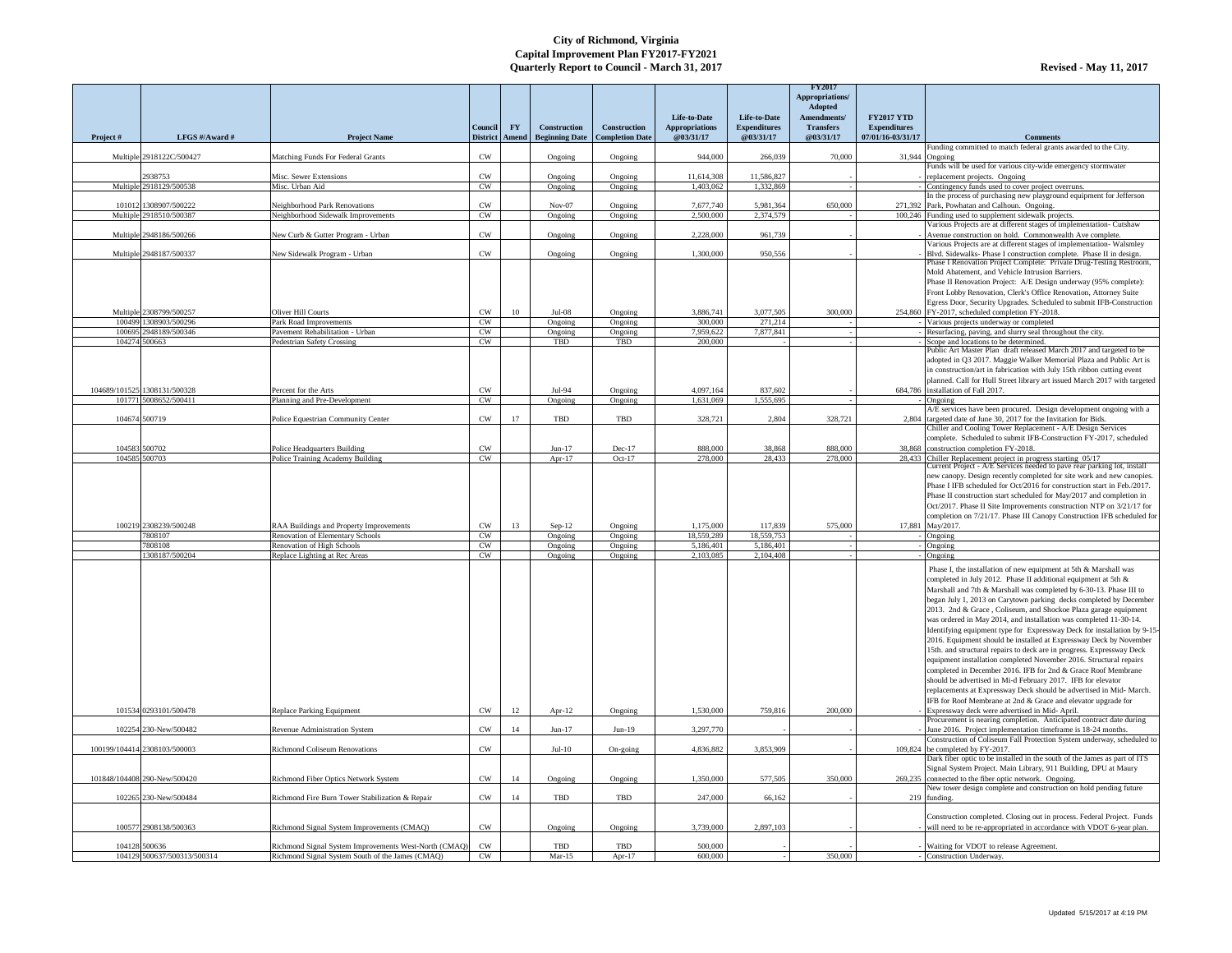|           |                                    |                                                                                    | Council                | <b>FY</b>      | <b>Construction</b>                                 | <b>Construction</b> | Life-to-Date<br><b>Appropriations</b> | Life-to-Date<br><b>Expenditures</b> | <b>FY2017</b><br>Appropriations/<br><b>Adopted</b><br>Amendments/<br><b>Transfers</b> | <b>FY2017 YTD</b><br><b>Expenditures</b> |                                                                                                                                                                                                                                                                                                                                                                                                                                                                                                                                                                                                                                                                                                                                                                                                                                                                                                                                                                                                  |
|-----------|------------------------------------|------------------------------------------------------------------------------------|------------------------|----------------|-----------------------------------------------------|---------------------|---------------------------------------|-------------------------------------|---------------------------------------------------------------------------------------|------------------------------------------|--------------------------------------------------------------------------------------------------------------------------------------------------------------------------------------------------------------------------------------------------------------------------------------------------------------------------------------------------------------------------------------------------------------------------------------------------------------------------------------------------------------------------------------------------------------------------------------------------------------------------------------------------------------------------------------------------------------------------------------------------------------------------------------------------------------------------------------------------------------------------------------------------------------------------------------------------------------------------------------------------|
| Project # | LFGS #/Award #                     | <b>Project Name</b>                                                                |                        |                | District   Amend   Beginning Date   Completion Date |                     | @03/31/17                             | @03/31/17                           | @03/31/17                                                                             | 07/01/16-03/31/17                        | <b>Comments</b>                                                                                                                                                                                                                                                                                                                                                                                                                                                                                                                                                                                                                                                                                                                                                                                                                                                                                                                                                                                  |
|           | Multiple 2918122C/500427           | Matching Funds For Federal Grants                                                  | <b>CW</b>              |                | Ongoing                                             | Ongoing             | 944,000                               | 266,039                             | 70,000                                                                                | $31,944$ Ongoing                         | Funding committed to match federal grants awarded to the City.                                                                                                                                                                                                                                                                                                                                                                                                                                                                                                                                                                                                                                                                                                                                                                                                                                                                                                                                   |
|           |                                    |                                                                                    |                        |                |                                                     |                     |                                       |                                     |                                                                                       |                                          | Funds will be used for various city-wide emergency stormwater                                                                                                                                                                                                                                                                                                                                                                                                                                                                                                                                                                                                                                                                                                                                                                                                                                                                                                                                    |
|           | 2938753<br>Multiple 2918129/500538 | Misc. Sewer Extensions<br>Misc. Urban Aid                                          | <b>CW</b><br><b>CW</b> |                | Ongoing                                             | Ongoing             | 11,614,308<br>1,403,062               | 11,586,827<br>1,332,869             |                                                                                       |                                          | replacement projects. Ongoing<br>Contingency funds used to cover project overruns.                                                                                                                                                                                                                                                                                                                                                                                                                                                                                                                                                                                                                                                                                                                                                                                                                                                                                                               |
|           |                                    |                                                                                    |                        |                | Ongoing                                             | Ongoing             |                                       |                                     |                                                                                       |                                          | In the process of purchasing new playground equipment for Jefferson                                                                                                                                                                                                                                                                                                                                                                                                                                                                                                                                                                                                                                                                                                                                                                                                                                                                                                                              |
|           | 101012 1308907/500222              | Neighborhood Park Renovations                                                      | <b>CW</b>              |                | $Nov-07$                                            | Ongoing             | 7,677,740                             | 5,981,364                           | 650,000                                                                               |                                          | 271,392 Park, Powhatan and Calhoun. Ongoing.                                                                                                                                                                                                                                                                                                                                                                                                                                                                                                                                                                                                                                                                                                                                                                                                                                                                                                                                                     |
|           | Multiple 2918510/500387            | Neighborhood Sidewalk Improvements                                                 | CW                     |                | Ongoing                                             | Ongoing             | 2,500,000                             | 2,374,579                           |                                                                                       |                                          | 100,246 Funding used to supplement sidewalk projects.<br>Various Projects are at different stages of implementation- Cutshaw                                                                                                                                                                                                                                                                                                                                                                                                                                                                                                                                                                                                                                                                                                                                                                                                                                                                     |
|           | Multiple 2948186/500266            | New Curb & Gutter Program - Urban                                                  | <b>CW</b>              |                | Ongoing                                             | Ongoing             | 2,228,000                             | 961,739                             |                                                                                       |                                          | Avenue construction on hold. Commonwealth Ave complete.                                                                                                                                                                                                                                                                                                                                                                                                                                                                                                                                                                                                                                                                                                                                                                                                                                                                                                                                          |
|           | Multiple 2948187/500337            | New Sidewalk Program - Urban                                                       | <b>CW</b>              |                | Ongoing                                             | Ongoing             | 1,300,000                             | 950,556                             |                                                                                       |                                          | Various Projects are at different stages of implementation-Walsmley<br>Blvd. Sidewalks- Phase I construction complete. Phase II in design.                                                                                                                                                                                                                                                                                                                                                                                                                                                                                                                                                                                                                                                                                                                                                                                                                                                       |
|           |                                    |                                                                                    |                        |                |                                                     |                     |                                       |                                     |                                                                                       |                                          | Phase I Renovation Project Complete: Private Drug-Testing Restroom,                                                                                                                                                                                                                                                                                                                                                                                                                                                                                                                                                                                                                                                                                                                                                                                                                                                                                                                              |
|           | Multiple 2308799/500257            | Oliver Hill Courts                                                                 | <b>CW</b>              | 10             | Jul-08                                              | Ongoing             | 3,886,741                             | 3,077,505                           | 300,000                                                                               |                                          | Mold Abatement, and Vehicle Intrusion Barriers.<br>Phase II Renovation Project: A/E Design underway (95% complete):<br>Front Lobby Renovation, Clerk's Office Renovation, Attorney Suite<br>Egress Door, Security Upgrades. Scheduled to submit IFB-Construction<br>$254,860$ FY-2017, scheduled completion FY-2018.                                                                                                                                                                                                                                                                                                                                                                                                                                                                                                                                                                                                                                                                             |
|           | 100499 1308903/500296              | Park Road Improvements                                                             | <b>CW</b>              |                | Ongoing                                             | Ongoing             | 300,000                               | 271,214                             |                                                                                       |                                          | Various projects underway or completed                                                                                                                                                                                                                                                                                                                                                                                                                                                                                                                                                                                                                                                                                                                                                                                                                                                                                                                                                           |
|           | 100695 2948189/500346              | Pavement Rehabilitation - Urban                                                    | CW                     |                | Ongoing                                             | Ongoing             | 7,959,622                             | 7,877,841                           |                                                                                       |                                          | Resurfacing, paving, and slurry seal throughout the city.                                                                                                                                                                                                                                                                                                                                                                                                                                                                                                                                                                                                                                                                                                                                                                                                                                                                                                                                        |
|           | 104274 500663                      | <b>Pedestrian Safety Crossing</b>                                                  | CW                     |                | <b>TBD</b>                                          | TBD                 | 200,000                               |                                     |                                                                                       |                                          | Scope and locations to be determined.                                                                                                                                                                                                                                                                                                                                                                                                                                                                                                                                                                                                                                                                                                                                                                                                                                                                                                                                                            |
|           | 104689/101525 1308131/500328       | Percent for the Arts                                                               | <b>CW</b>              |                | Jul-94                                              | Ongoing             | 4,097,164                             | 837,602                             |                                                                                       |                                          | Public Art Master Plan draft released March 2017 and targeted to be<br>adopted in Q3 2017. Maggie Walker Memorial Plaza and Public Art is<br>in construction/art in fabrication with July 15th ribbon cutting event<br>planned. Call for Hull Street library art issued March 2017 with targeted<br>684,786 installation of Fall 2017.                                                                                                                                                                                                                                                                                                                                                                                                                                                                                                                                                                                                                                                           |
|           | 101771 5008652/500411              | Planning and Pre-Development                                                       | CW                     |                | Ongoing                                             | Ongoing             | 1,631,069                             | 1,555,695                           |                                                                                       |                                          | Ongoing                                                                                                                                                                                                                                                                                                                                                                                                                                                                                                                                                                                                                                                                                                                                                                                                                                                                                                                                                                                          |
|           |                                    |                                                                                    |                        |                |                                                     |                     |                                       |                                     |                                                                                       |                                          | A/E services have been procured. Design development ongoing with a                                                                                                                                                                                                                                                                                                                                                                                                                                                                                                                                                                                                                                                                                                                                                                                                                                                                                                                               |
|           | 104674 500719                      | <b>Police Equestrian Community Center</b>                                          | <b>CW</b>              | 17             | TBD                                                 | TBD                 | 328,721                               | 2,804                               | 328,721                                                                               |                                          | 2,804 targeted date of June 30, 2017 for the Invitation for Bids.<br>Chiller and Cooling Tower Replacement - A/E Design Services                                                                                                                                                                                                                                                                                                                                                                                                                                                                                                                                                                                                                                                                                                                                                                                                                                                                 |
|           |                                    |                                                                                    |                        |                |                                                     |                     |                                       |                                     |                                                                                       |                                          | complete. Scheduled to submit IFB-Construction FY-2017, scheduled                                                                                                                                                                                                                                                                                                                                                                                                                                                                                                                                                                                                                                                                                                                                                                                                                                                                                                                                |
|           | 104583 500702                      | Police Headquarters Building                                                       | <b>CW</b>              |                | $Jun-17$                                            | $Dec-17$            | 888,000                               | 38,868                              | 888,000                                                                               |                                          | 38,868 construction completion FY-2018.                                                                                                                                                                                                                                                                                                                                                                                                                                                                                                                                                                                                                                                                                                                                                                                                                                                                                                                                                          |
|           | 104585 500703                      | Police Training Academy Building                                                   | CW                     |                | Apr- $17$                                           | $Oct-17$            | 278,000                               | 28,433                              | 278,000                                                                               |                                          | 28,433 Chiller Replacement project in progress starting 05/17<br>Current Project - $A/E$ Services needed to pave rear parking lot, install                                                                                                                                                                                                                                                                                                                                                                                                                                                                                                                                                                                                                                                                                                                                                                                                                                                       |
|           | 100219 2308239/500248<br>7808107   | RAA Buildings and Property Improvements<br><b>Renovation of Elementary Schools</b> | CW<br><b>CW</b>        | 13             | $Sep-12$<br>Ongoing                                 | Ongoing<br>Ongoing  | 1,175,000<br>18,559,289               | 117,839<br>18,559,753               | 575,000                                                                               |                                          | new canopy. Design recently completed for site work and new canopies.<br>Phase I IFB scheduled for Oct/2016 for construction start in Feb./2017.<br>Phase II construction start scheduled for May/2017 and completion in<br>Oct/2017. Phase II Site Improvements construction NTP on 3/21/17 for<br>completion on 7/21/17. Phase III Canopy Construction IFB scheduled for<br>17,881 May/2017.<br>Ongoing                                                                                                                                                                                                                                                                                                                                                                                                                                                                                                                                                                                        |
|           | 7808108                            | Renovation of High Schools                                                         | <b>CW</b>              |                | Ongoing                                             | Ongoing             | 5,186,401                             | 5,186,401                           |                                                                                       |                                          | Ongoing                                                                                                                                                                                                                                                                                                                                                                                                                                                                                                                                                                                                                                                                                                                                                                                                                                                                                                                                                                                          |
|           | 1308187/500204                     | Replace Lighting at Rec Areas                                                      | CW                     |                | Ongoing                                             | Ongoing             | 2,103,085                             | 2,104,408                           |                                                                                       |                                          | Ongoing                                                                                                                                                                                                                                                                                                                                                                                                                                                                                                                                                                                                                                                                                                                                                                                                                                                                                                                                                                                          |
|           |                                    |                                                                                    |                        |                |                                                     |                     |                                       |                                     |                                                                                       |                                          | Phase I, the installation of new equipment at 5th & Marshall was<br>completed in July 2012. Phase II additional equipment at 5th &<br>Marshall and 7th & Marshall was completed by 6-30-13. Phase III to<br>began July 1, 2013 on Carytown parking decks completed by December<br>2013. 2nd & Grace, Coliseum, and Shockoe Plaza garage equipment<br>was ordered in May 2014, and installation was completed 11-30-14.<br>Identifying equipment type for Expressway Deck for installation by 9-15-<br>2016. Equipment should be installed at Expressway Deck by November<br>15th. and structural repairs to deck are in progress. Expressway Deck<br>equipment installation completed November 2016. Structural repairs<br>completed in December 2016. IFB for 2nd & Grace Roof Membrane<br>should be advertised in Mi-d February 2017. IFB for elevator<br>replacements at Expressway Deck should be advertised in Mid- March.<br>IFB for Roof Membrane at 2nd & Grace and elevator upgrade for |
|           | 101534 0293101/500478              | <b>Replace Parking Equipment</b>                                                   | <b>CW</b>              | 12             | Apr- $12$                                           | Ongoing             | 1,530,000                             | 759,816                             | 200,000                                                                               |                                          | Expressway deck were advertised in Mid-April.<br>Procurement is nearing completion. Anticipated contract date during                                                                                                                                                                                                                                                                                                                                                                                                                                                                                                                                                                                                                                                                                                                                                                                                                                                                             |
|           | 102254 230-New/500482              | Revenue Administration System                                                      | <b>CW</b>              | 14             | $Jun-17$                                            | $Jun-19$            | 3,297,770                             |                                     |                                                                                       |                                          | June 2016. Project implementation timeframe is 18-24 months.                                                                                                                                                                                                                                                                                                                                                                                                                                                                                                                                                                                                                                                                                                                                                                                                                                                                                                                                     |
|           | 100199/104414 2308103/500003       | <b>Richmond Coliseum Renovations</b>                                               | <b>CW</b>              |                | $Jul-10$                                            | $On\text{-going}$   | 4,836,882                             | 3,853,909                           |                                                                                       |                                          | Construction of Coliseum Fall Protection System underway, scheduled to<br>109,824 be completed by $FY-2017$ .<br>Dark fiber optic to be installed in the south of the James as part of ITS                                                                                                                                                                                                                                                                                                                                                                                                                                                                                                                                                                                                                                                                                                                                                                                                       |
|           | 101848/104408 290-New/500420       | Richmond Fiber Optics Network System                                               | CW                     | $\frac{14}{2}$ | Ongoing                                             | Ongoing             | 1,350,000                             | 577,505                             | 350,000                                                                               |                                          | Signal System Project. Main Library, 911 Building, DPU at Maury<br>269,235 connected to the fiber optic network. Ongoing.                                                                                                                                                                                                                                                                                                                                                                                                                                                                                                                                                                                                                                                                                                                                                                                                                                                                        |
|           | 102265 230-New/500484              | Richmond Fire Burn Tower Stabilization & Repair                                    | CW                     | 14             | TBD                                                 | <b>TBD</b>          | 247,000                               | 66,162                              |                                                                                       |                                          | New tower design complete and construction on hold pending future<br>219 funding.                                                                                                                                                                                                                                                                                                                                                                                                                                                                                                                                                                                                                                                                                                                                                                                                                                                                                                                |
|           | 100577 2908138/500363              | Richmond Signal System Improvements (CMAQ)                                         | <b>CW</b>              |                | Ongoing                                             | Ongoing             | 3,739,000                             | 2,897,103                           |                                                                                       |                                          | Construction completed. Closing out in process. Federal Project. Funds<br>will need to be re-appropriated in accordance with VDOT 6-year plan.                                                                                                                                                                                                                                                                                                                                                                                                                                                                                                                                                                                                                                                                                                                                                                                                                                                   |
|           | 104128 500636                      | Richmond Signal System Improvements West-North (CMAQ)                              | <b>CW</b>              |                | TBD                                                 | TBD                 | 500,000                               |                                     |                                                                                       |                                          | Waiting for VDOT to release Agreement.                                                                                                                                                                                                                                                                                                                                                                                                                                                                                                                                                                                                                                                                                                                                                                                                                                                                                                                                                           |
|           | 104129 500637/500313/500314        | Richmond Signal System South of the James (CMAO)                                   | CW                     |                | $Mar-15$                                            | Apr-17              | 600,000                               |                                     | 350,000                                                                               |                                          | Construction Underway.                                                                                                                                                                                                                                                                                                                                                                                                                                                                                                                                                                                                                                                                                                                                                                                                                                                                                                                                                                           |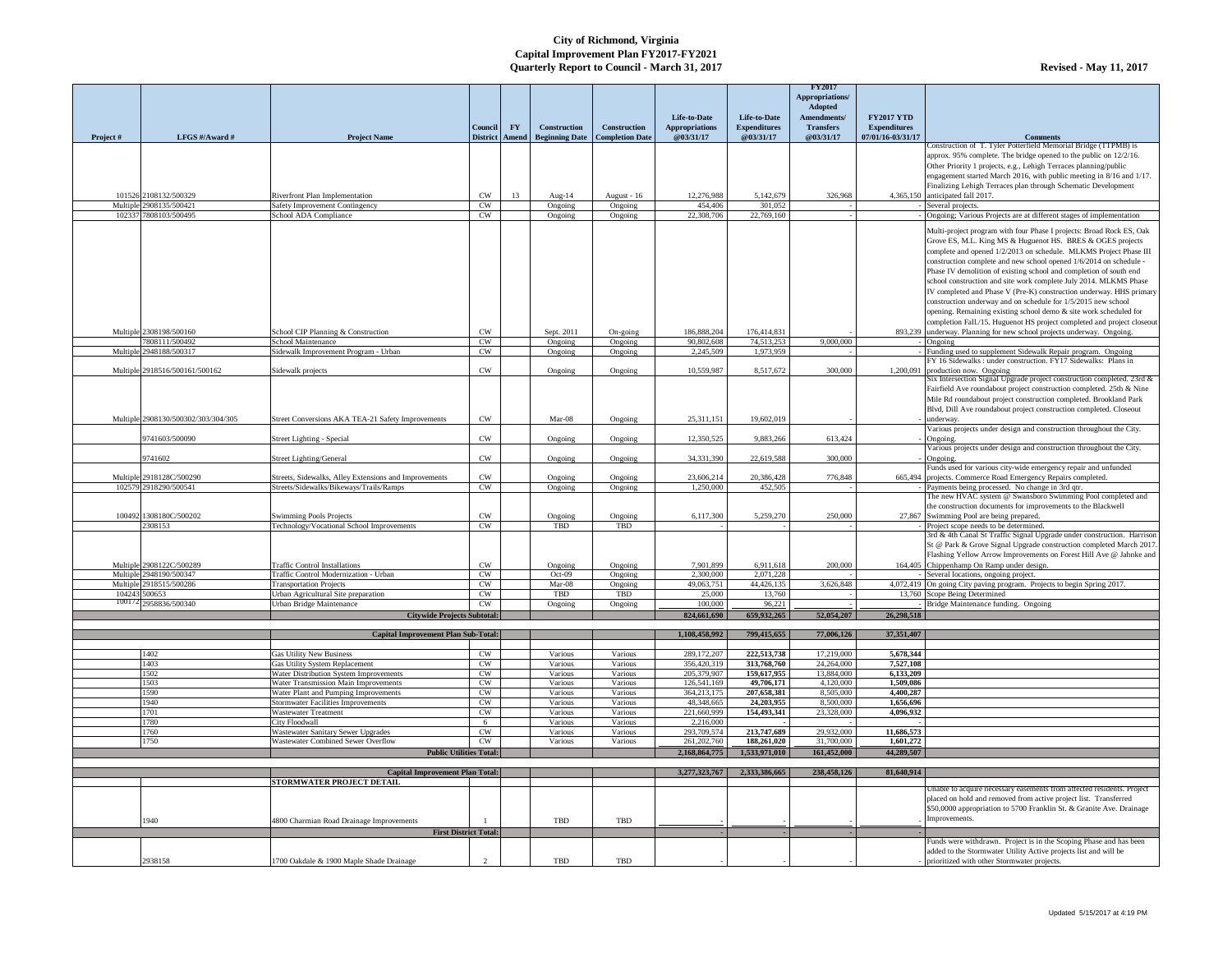|           |                                     |                                                                                        |                              |           |                                                     |                     |                              |                            | <b>FY2017</b>            |                         |                                                                                                                                        |
|-----------|-------------------------------------|----------------------------------------------------------------------------------------|------------------------------|-----------|-----------------------------------------------------|---------------------|------------------------------|----------------------------|--------------------------|-------------------------|----------------------------------------------------------------------------------------------------------------------------------------|
|           |                                     |                                                                                        |                              |           |                                                     |                     |                              |                            | Appropriations/          |                         |                                                                                                                                        |
|           |                                     |                                                                                        |                              |           |                                                     |                     |                              |                            | Adopted                  |                         |                                                                                                                                        |
|           |                                     |                                                                                        |                              |           |                                                     |                     | Life-to-Date                 | Life-to-Date               | Amendments/              | <b>FY2017 YTD</b>       |                                                                                                                                        |
|           |                                     |                                                                                        | Council I                    | <b>FY</b> | <b>Construction</b>                                 | <b>Construction</b> | <b>Appropriations</b>        | <b>Expenditures</b>        | <b>Transfers</b>         | <b>Expenditures</b>     |                                                                                                                                        |
| Project # | LFGS #/Award #                      | <b>Project Name</b>                                                                    |                              |           | District   Amend   Beginning Date   Completion Date |                     | @03/31/17                    | @03/31/17                  | @03/31/17                | 07/01/16-03/31/17       | <b>Comments</b><br>Construction of T. Tyler Potterfield Memorial Bridge (TTPMB) is                                                     |
|           |                                     |                                                                                        |                              |           |                                                     |                     |                              |                            |                          |                         | approx. 95% complete. The bridge opened to the public on 12/2/16.                                                                      |
|           |                                     |                                                                                        |                              |           |                                                     |                     |                              |                            |                          |                         | Other Priority 1 projects, e.g., Lehigh Terraces planning/public                                                                       |
|           |                                     |                                                                                        |                              |           |                                                     |                     |                              |                            |                          |                         | engagement started March 2016, with public meeting in 8/16 and 1/17.                                                                   |
|           |                                     |                                                                                        |                              |           |                                                     |                     |                              |                            |                          |                         | Finalizing Lehigh Terraces plan through Schematic Development                                                                          |
|           | 101526 2108132/500329               | <b>Riverfront Plan Implementation</b>                                                  | <b>CW</b>                    | 13        | Aug- $14$                                           | August - 16         | 12,276,988                   | 5,142,679                  | 326,968                  |                         | 4,365,150 anticipated fall 2017.                                                                                                       |
|           | Multiple 2908135/500421             | Safety Improvement Contingency                                                         | <b>CW</b>                    |           | Ongoing                                             | Ongoing             | 454,406                      | 301,052                    |                          |                         | Several projects.                                                                                                                      |
|           | 102337 7808103/500495               | School ADA Compliance                                                                  | <b>CW</b>                    |           | Ongoing                                             | Ongoing             | 22,308,706                   | $\overline{22,769,160}$    |                          |                         | Ongoing; Various Projects are at different stages of implementation                                                                    |
|           |                                     |                                                                                        |                              |           |                                                     |                     |                              |                            |                          |                         | Multi-project program with four Phase I projects: Broad Rock ES, Oak                                                                   |
|           |                                     |                                                                                        |                              |           |                                                     |                     |                              |                            |                          |                         | Grove ES, M.L. King MS & Huguenot HS. BRES & OGES projects                                                                             |
|           |                                     |                                                                                        |                              |           |                                                     |                     |                              |                            |                          |                         | complete and opened 1/2/2013 on schedule. MLKMS Project Phase III                                                                      |
|           |                                     |                                                                                        |                              |           |                                                     |                     |                              |                            |                          |                         | construction complete and new school opened 1/6/2014 on schedule -                                                                     |
|           |                                     |                                                                                        |                              |           |                                                     |                     |                              |                            |                          |                         | Phase IV demolition of existing school and completion of south end                                                                     |
|           |                                     |                                                                                        |                              |           |                                                     |                     |                              |                            |                          |                         | school construction and site work complete July 2014. MLKMS Phase                                                                      |
|           |                                     |                                                                                        |                              |           |                                                     |                     |                              |                            |                          |                         | IV completed and Phase V (Pre-K) construction underway. HHS primary                                                                    |
|           |                                     |                                                                                        |                              |           |                                                     |                     |                              |                            |                          |                         | construction underway and on schedule for 1/5/2015 new school                                                                          |
|           |                                     |                                                                                        |                              |           |                                                     |                     |                              |                            |                          |                         | opening. Remaining existing school demo & site work scheduled for                                                                      |
|           |                                     |                                                                                        |                              |           |                                                     |                     |                              |                            |                          |                         | completion Fall./15. Huguenot HS project completed and project closeout                                                                |
|           | Multiple 2308198/500160             | School CIP Planning & Construction                                                     | <b>CW</b>                    |           | Sept. 2011                                          | On-going            | 186,888,204                  | 176,414,831                |                          |                         | 893,239 underway. Planning for new school projects underway. Ongoing.                                                                  |
|           | 7808111/500492                      | School Maintenance                                                                     | <b>CW</b>                    |           | Ongoing                                             | Ongoing             | 90,802,608                   | 74,513,253                 | 9,000,000                |                         | Ongoing                                                                                                                                |
|           | Multiple 2948188/500317             | Sidewalk Improvement Program - Urban                                                   | <b>CW</b>                    |           | Ongoing                                             | Ongoing             | 2,245,509                    | 1,973,959                  |                          |                         | Funding used to supplement Sidewalk Repair program. Ongoing<br>FY 16 Sidewalks : under construction. FY17 Sidewalks: Plans in          |
|           | Multiple 2918516/500161/500162      | Sidewalk projects                                                                      | <b>CW</b>                    |           | Ongoing                                             | Ongoing             | 10,559,987                   | 8,517,672                  | 300,000                  | 1,200,091               | production now. Ongoing                                                                                                                |
|           |                                     |                                                                                        |                              |           |                                                     |                     |                              |                            |                          |                         | Six Intersection Signal Upgrade project construction completed. 23rd $\&$                                                              |
|           |                                     |                                                                                        |                              |           |                                                     |                     |                              |                            |                          |                         | Fairfield Ave roundabout project construction completed. 25th & Nine                                                                   |
|           |                                     |                                                                                        |                              |           |                                                     |                     |                              |                            |                          |                         | Mile Rd roundabout project construction completed. Brookland Park                                                                      |
|           |                                     |                                                                                        |                              |           |                                                     |                     |                              |                            |                          |                         | Blvd, Dill Ave roundabout project construction completed. Closeout                                                                     |
|           | Multiple 2908130/500302/303/304/305 | Street Conversions AKA TEA-21 Safety Improvements                                      | <b>CW</b>                    |           | Mar-08                                              | Ongoing             | 25,311,151                   | 19,602,019                 |                          |                         | underway.                                                                                                                              |
|           |                                     |                                                                                        |                              |           |                                                     |                     |                              |                            |                          |                         | Various projects under design and construction throughout the City.                                                                    |
|           | 9741603/500090                      | Street Lighting - Special                                                              | <b>CW</b>                    |           | Ongoing                                             | Ongoing             | 12,350,525                   | 9,883,266                  | 613,424                  |                         | Ongoing.                                                                                                                               |
|           | 9741602                             | <b>Street Lighting/General</b>                                                         | <b>CW</b>                    |           | Ongoing                                             | Ongoing             | 34,331,390                   | 22,619,588                 | 300,000                  |                         | Various projects under design and construction throughout the City.                                                                    |
|           |                                     |                                                                                        |                              |           |                                                     |                     |                              |                            |                          |                         | Ongoing.<br>Funds used for various city-wide emergency repair and unfunded                                                             |
|           | Multiple 2918128C/500290            | Streets, Sidewalks, Alley Extensions and Improvements                                  | <b>CW</b>                    |           | Ongoing                                             | Ongoing             | 23,606,214                   | 20,386,428                 | 776,848                  |                         | 665,494 projects. Commerce Road Emergency Repairs completed.                                                                           |
|           | 102579 2918290/500541               | Streets/Sidewalks/Bikeways/Trails/Ramps                                                | CW                           |           | Ongoing                                             | Ongoing             | 1,250,000                    | 452,505                    |                          |                         | Payments being processed. No change in 3rd qtr.                                                                                        |
|           |                                     |                                                                                        |                              |           |                                                     |                     |                              |                            |                          |                         | The new HVAC system @ Swansboro Swimming Pool completed and                                                                            |
|           |                                     |                                                                                        |                              |           |                                                     |                     |                              |                            |                          |                         | the construction documents for improvements to the Blackwell                                                                           |
|           | 100492 1308180C/500202              | <b>Swimming Pools Projects</b>                                                         | <b>CW</b>                    |           | Ongoing                                             | Ongoing             | 6,117,300                    | 5,259,270                  | 250,000                  |                         | 27,867 Swimming Pool are being prepared.                                                                                               |
|           | 2308153                             | Technology/Vocational School Improvements                                              | <b>CW</b>                    |           | TBD                                                 | TBD                 |                              |                            |                          |                         | Project scope needs to be determined.<br>3rd & 4th Canal St Traffic Signal Upgrade under construction. Harrison                        |
|           |                                     |                                                                                        |                              |           |                                                     |                     |                              |                            |                          |                         | St @ Park & Grove Signal Upgrade construction completed March 2017.                                                                    |
|           |                                     |                                                                                        |                              |           |                                                     |                     |                              |                            |                          |                         | Flashing Yellow Arrow Improvements on Forest Hill Ave @ Jahnke and                                                                     |
|           | Multiple 2908122C/500289            | <b>Traffic Control Installations</b>                                                   | <b>CW</b>                    |           | Ongoing                                             | Ongoing             | 7,901,899                    | 6,911,618                  | 200,000                  |                         | 164,405 Chippenhamp On Ramp under design.                                                                                              |
|           | Multiple 2948190/500347             | Traffic Control Modernization - Urban                                                  | <b>CW</b>                    |           | Oct-09                                              | Ongoing             | 2,300,000                    | 2,071,228                  |                          |                         | Several locations, ongoing project.                                                                                                    |
|           | Multiple 2918515/500286             | <b>Transportation Projects</b>                                                         | <b>CW</b>                    |           | Mar-08                                              | Ongoing             | 49,063,751                   | 44,426,135                 | 3,626,848                |                         | 4,072,419 On going City paving program. Projects to begin Spring 2017.                                                                 |
|           | 104243 500653                       | Urban Agricultural Site preparation                                                    | <b>CW</b>                    |           | TBD                                                 | TBD                 | 25,000                       | 13,760                     |                          |                         | 13,760 Scope Being Determined                                                                                                          |
|           | 100172 2958836/500340               | Urban Bridge Maintenance                                                               | <b>CW</b>                    |           | Ongoing                                             | Ongoing             | 100,000                      | 96,221                     |                          |                         | Bridge Maintenance funding. Ongoing                                                                                                    |
|           |                                     | <b>Citywide Projects Subtotal:</b>                                                     |                              |           |                                                     |                     | 824,661,690                  | 659,932,265                | 52,054,207               | 26,298,518              |                                                                                                                                        |
|           |                                     |                                                                                        |                              |           |                                                     |                     | 1,108,458,992                | 799,415,655                | 77,006,126               | 37,351,407              |                                                                                                                                        |
|           |                                     | <b>Capital Improvement Plan Sub-Total:</b>                                             |                              |           |                                                     |                     |                              |                            |                          |                         |                                                                                                                                        |
|           | 1402                                | <b>Gas Utility New Business</b>                                                        | <b>CW</b>                    |           | Various                                             | Various             | 289,172,207                  | 222,513,738                | 17,219,000               | 5,678,344               |                                                                                                                                        |
|           | 1403                                | Gas Utility System Replacement                                                         | <b>CW</b>                    |           | Various                                             | Various             | 356,420,319                  | 313,768,760                | 24,264,000               | 7,527,108               |                                                                                                                                        |
|           | 1502                                | Water Distribution System Improvements                                                 | <b>CW</b>                    |           | Various                                             | Various             | 205,379,907                  | 159,617,955                | 13,884,000               | 6,133,209               |                                                                                                                                        |
|           | 1503                                | <b>Water Transmission Main Improvements</b>                                            | <b>CW</b>                    |           | Various                                             | Various             | 126,541,169                  | 49,706,171                 | 4,120,000                | 1,509,086               |                                                                                                                                        |
|           | 1590                                | Water Plant and Pumping Improvements                                                   | <b>CW</b>                    |           | Various                                             | Various             | 364, 213, 175                | 207,658,381                | 8,505,000                | 4,400,287               |                                                                                                                                        |
|           | 1940                                | <b>Stormwater Facilities Improvements</b>                                              | <b>CW</b>                    |           | Various                                             | Various             | 48,348,665                   | 24,203,955                 | 8,500,000                | 1,656,696               |                                                                                                                                        |
|           | 1701                                | <b>Wastewater Treatment</b>                                                            | <b>CW</b>                    |           | Various                                             | Various             | 221,660,999                  | 154,493,341                | 23,328,000               | 4,096,932               |                                                                                                                                        |
|           | 1780                                | <b>City Floodwall</b>                                                                  | - 6                          |           | Various                                             | Various             | 2,216,000                    |                            |                          |                         |                                                                                                                                        |
|           | 1760<br>1750                        | <b>Wastewater Sanitary Sewer Upgrades</b><br><b>Wastewater Combined Sewer Overflow</b> | <b>CW</b><br>CW              |           | Various<br>Various                                  | Various<br>Various  | 293,709,574<br>261, 202, 760 | 213,747,689<br>188,261,020 | 29,932,000<br>31,700,000 | 11,686,573<br>1,601,272 |                                                                                                                                        |
|           |                                     | <b>Public Utilities Total:</b>                                                         |                              |           |                                                     |                     | 2,168,864,775                | 1,533,971,010              | 161,452,000              | 44,289,507              |                                                                                                                                        |
|           |                                     |                                                                                        |                              |           |                                                     |                     |                              |                            |                          |                         |                                                                                                                                        |
|           |                                     | <b>Capital Improvement Plan Total:</b>                                                 |                              |           |                                                     |                     | 3,277,323,767                | 2,333,386,665              | 238,458,126              | 81,640,914              |                                                                                                                                        |
|           |                                     | <b>STORMWATER PROJECT DETAIL</b>                                                       |                              |           |                                                     |                     |                              |                            |                          |                         |                                                                                                                                        |
|           |                                     |                                                                                        |                              |           |                                                     |                     |                              |                            |                          |                         | Unable to acquire necessary easements from affected residents. Project                                                                 |
|           |                                     |                                                                                        |                              |           |                                                     |                     |                              |                            |                          |                         | placed on hold and removed from active project list. Transferred                                                                       |
|           |                                     |                                                                                        |                              |           |                                                     |                     |                              |                            |                          |                         | \$50,0000 appropriation to 5700 Franklin St. & Granite Ave. Drainage                                                                   |
|           | 1940                                | 4800 Charmian Road Drainage Improvements                                               |                              |           | <b>TBD</b>                                          | TBD                 |                              |                            |                          |                         | Improvements.                                                                                                                          |
|           |                                     |                                                                                        | <b>First District Total:</b> |           |                                                     |                     |                              |                            |                          |                         |                                                                                                                                        |
|           |                                     |                                                                                        |                              |           |                                                     |                     |                              |                            |                          |                         | Funds were withdrawn. Project is in the Scoping Phase and has been<br>added to the Stormwater Utility Active projects list and will be |
|           | 2938158                             | 1700 Oakdale & 1900 Maple Shade Drainage                                               | $\overline{2}$               |           | TBD                                                 | TBD                 |                              |                            |                          |                         | prioritized with other Stormwater projects.                                                                                            |
|           |                                     |                                                                                        |                              |           |                                                     |                     |                              |                            |                          |                         |                                                                                                                                        |